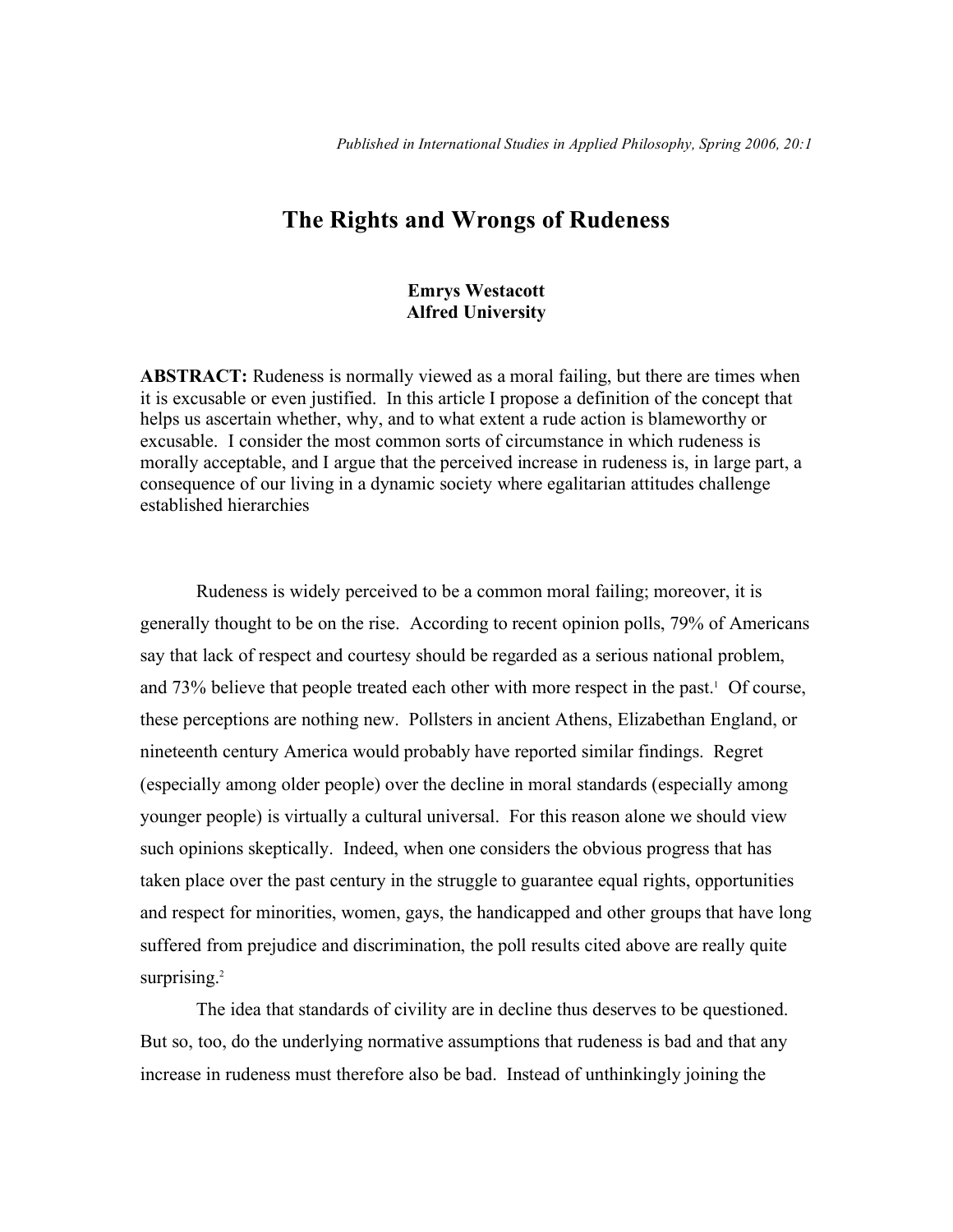## The Rights and Wrongs of Rudeness

### Emrys Westacott Alfred University

ABSTRACT: Rudeness is normally viewed as a moral failing, but there are times when it is excusable or even justified. In this article I propose a definition of the concept that helps us ascertain whether, why, and to what extent a rude action is blameworthy or excusable. I consider the most common sorts of circumstance in which rudeness is morally acceptable, and I argue that the perceived increase in rudeness is, in large part, a consequence of our living in a dynamic society where egalitarian attitudes challenge established hierarchies

Rudeness is widely perceived to be a common moral failing; moreover, it is generally thought to be on the rise. According to recent opinion polls, 79% of Americans say that lack of respect and courtesy should be regarded as a serious national problem, and 73% believe that people treated each other with more respect in the past. <sup>1</sup> Of course, these perceptions are nothing new. Pollsters in ancient Athens, Elizabethan England, or nineteenth century America would probably have reported similar findings. Regret (especially among older people) over the decline in moral standards (especially among younger people) is virtually a cultural universal. For this reason alone we should view such opinions skeptically. Indeed, when one considers the obvious progress that has taken place over the past century in the struggle to guarantee equal rights, opportunities and respect for minorities, women, gays, the handicapped and other groups that have long suffered from prejudice and discrimination, the poll results cited above are really quite surprising.<sup>2</sup>

The idea that standards of civility are in decline thus deserves to be questioned. But so, too, do the underlying normative assumptions that rudeness is bad and that any increase in rudeness must therefore also be bad. Instead of unthinkingly joining the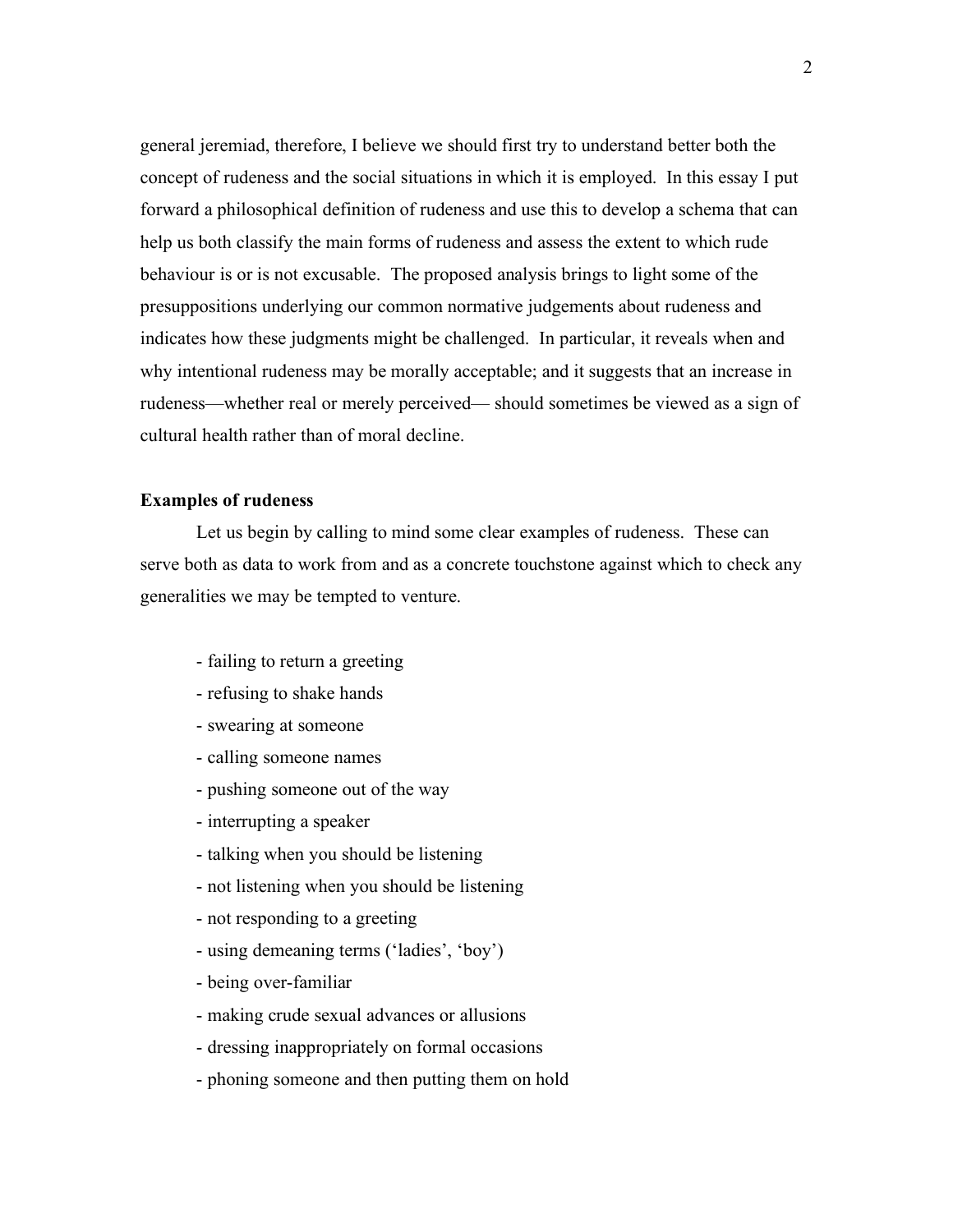general jeremiad, therefore, I believe we should first try to understand better both the concept of rudeness and the social situations in which it is employed. In this essay I put forward a philosophical definition of rudeness and use this to develop a schema that can help us both classify the main forms of rudeness and assess the extent to which rude behaviour is or is not excusable. The proposed analysis brings to light some of the presuppositions underlying our common normative judgements about rudeness and indicates how these judgments might be challenged. In particular, it reveals when and why intentional rudeness may be morally acceptable; and it suggests that an increase in rudeness—whether real or merely perceived— should sometimes be viewed as a sign of cultural health rather than of moral decline.

#### Examples of rudeness

Let us begin by calling to mind some clear examples of rudeness. These can serve both as data to work from and as a concrete touchstone against which to check any generalities we may be tempted to venture.

- failing to return a greeting
- refusing to shake hands
- swearing at someone
- calling someone names
- pushing someone out of the way
- interrupting a speaker
- talking when you should be listening
- not listening when you should be listening
- not responding to a greeting
- using demeaning terms ('ladies', 'boy')
- being over-familiar
- making crude sexual advances or allusions
- dressing inappropriately on formal occasions
- phoning someone and then putting them on hold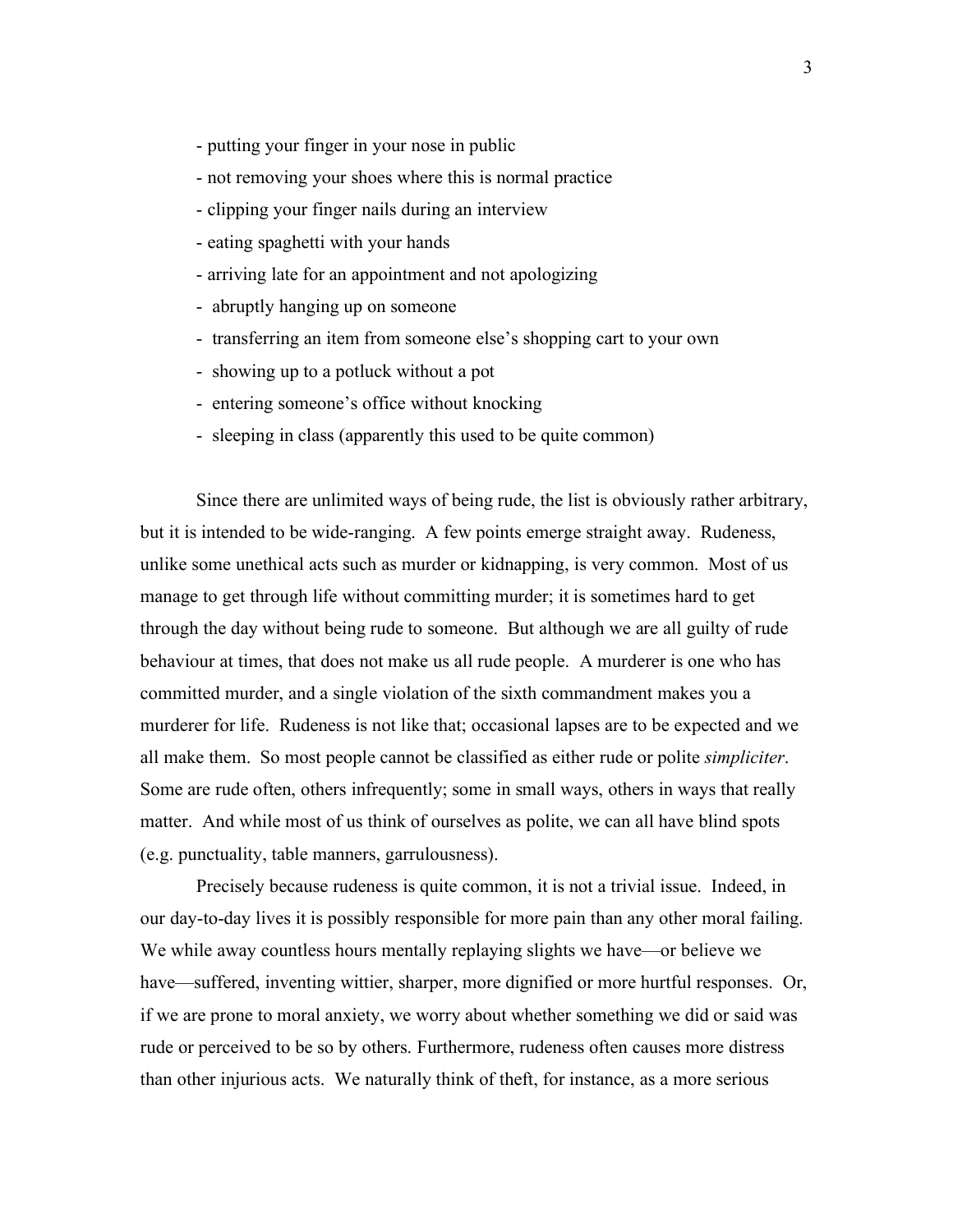- putting your finger in your nose in public
- not removing your shoes where this is normal practice
- clipping your finger nails during an interview
- eating spaghetti with your hands
- arriving late for an appointment and not apologizing
- abruptly hanging up on someone
- transferring an item from someone else's shopping cart to your own
- showing up to a potluck without a pot
- entering someone's office without knocking
- sleeping in class (apparently this used to be quite common)

Since there are unlimited ways of being rude, the list is obviously rather arbitrary, but it is intended to be wide-ranging. A few points emerge straight away. Rudeness, unlike some unethical acts such as murder or kidnapping, is very common. Most of us manage to get through life without committing murder; it is sometimes hard to get through the day without being rude to someone. But although we are all guilty of rude behaviour at times, that does not make us all rude people. A murderer is one who has committed murder, and a single violation of the sixth commandment makes you a murderer for life. Rudeness is not like that; occasional lapses are to be expected and we all make them. So most people cannot be classified as either rude or polite *simpliciter*. Some are rude often, others infrequently; some in small ways, others in ways that really matter. And while most of us think of ourselves as polite, we can all have blind spots (e.g. punctuality, table manners, garrulousness).

Precisely because rudeness is quite common, it is not a trivial issue. Indeed, in our day-to-day lives it is possibly responsible for more pain than any other moral failing. We while away countless hours mentally replaying slights we have—or believe we have—suffered, inventing wittier, sharper, more dignified or more hurtful responses. Or, if we are prone to moral anxiety, we worry about whether something we did or said was rude or perceived to be so by others. Furthermore, rudeness often causes more distress than other injurious acts. We naturally think of theft, for instance, as a more serious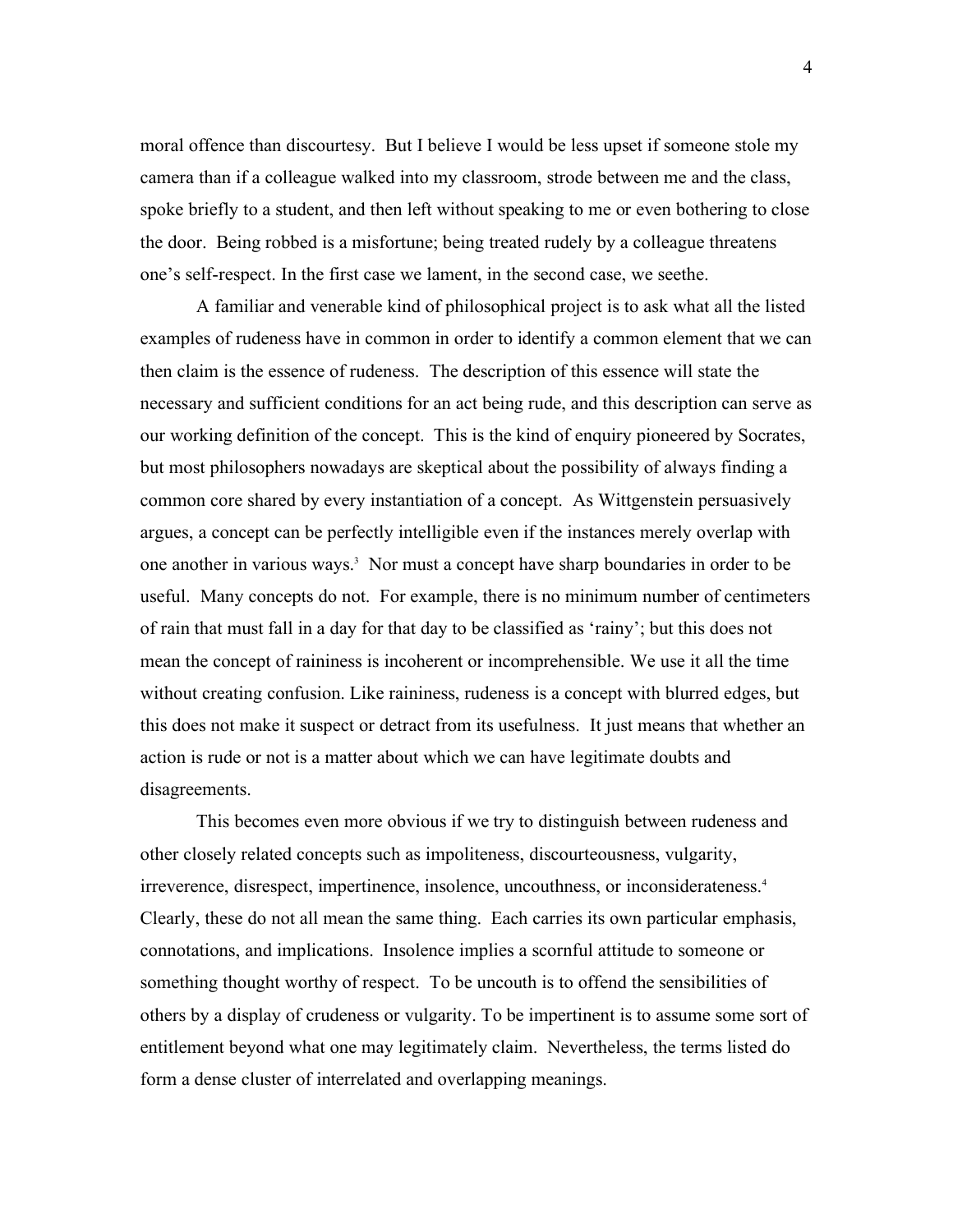moral offence than discourtesy. But I believe I would be less upset if someone stole my camera than if a colleague walked into my classroom, strode between me and the class, spoke briefly to a student, and then left without speaking to me or even bothering to close the door. Being robbed is a misfortune; being treated rudely by a colleague threatens one's self-respect. In the first case we lament, in the second case, we seethe.

A familiar and venerable kind of philosophical project is to ask what all the listed examples of rudeness have in common in order to identify a common element that we can then claim is the essence of rudeness. The description of this essence will state the necessary and sufficient conditions for an act being rude, and this description can serve as our working definition of the concept. This is the kind of enquiry pioneered by Socrates, but most philosophers nowadays are skeptical about the possibility of always finding a common core shared by every instantiation of a concept. As Wittgenstein persuasively argues, a concept can be perfectly intelligible even if the instances merely overlap with one another in various ways. <sup>3</sup> Nor must a concept have sharp boundaries in order to be useful. Many concepts do not. For example, there is no minimum number of centimeters of rain that must fall in a day for that day to be classified as 'rainy'; but this does not mean the concept of raininess is incoherent or incomprehensible. We use it all the time without creating confusion. Like raininess, rudeness is a concept with blurred edges, but this does not make it suspect or detract from its usefulness. It just means that whether an action is rude or not is a matter about which we can have legitimate doubts and disagreements.

This becomes even more obvious if we try to distinguish between rudeness and other closely related concepts such as impoliteness, discourteousness, vulgarity, irreverence, disrespect, impertinence, insolence, uncouthness, or inconsiderateness. 4 Clearly, these do not all mean the same thing. Each carries its own particular emphasis, connotations, and implications. Insolence implies a scornful attitude to someone or something thought worthy of respect. To be uncouth is to offend the sensibilities of others by a display of crudeness or vulgarity. To be impertinent is to assume some sort of entitlement beyond what one may legitimately claim. Nevertheless, the terms listed do form a dense cluster of interrelated and overlapping meanings.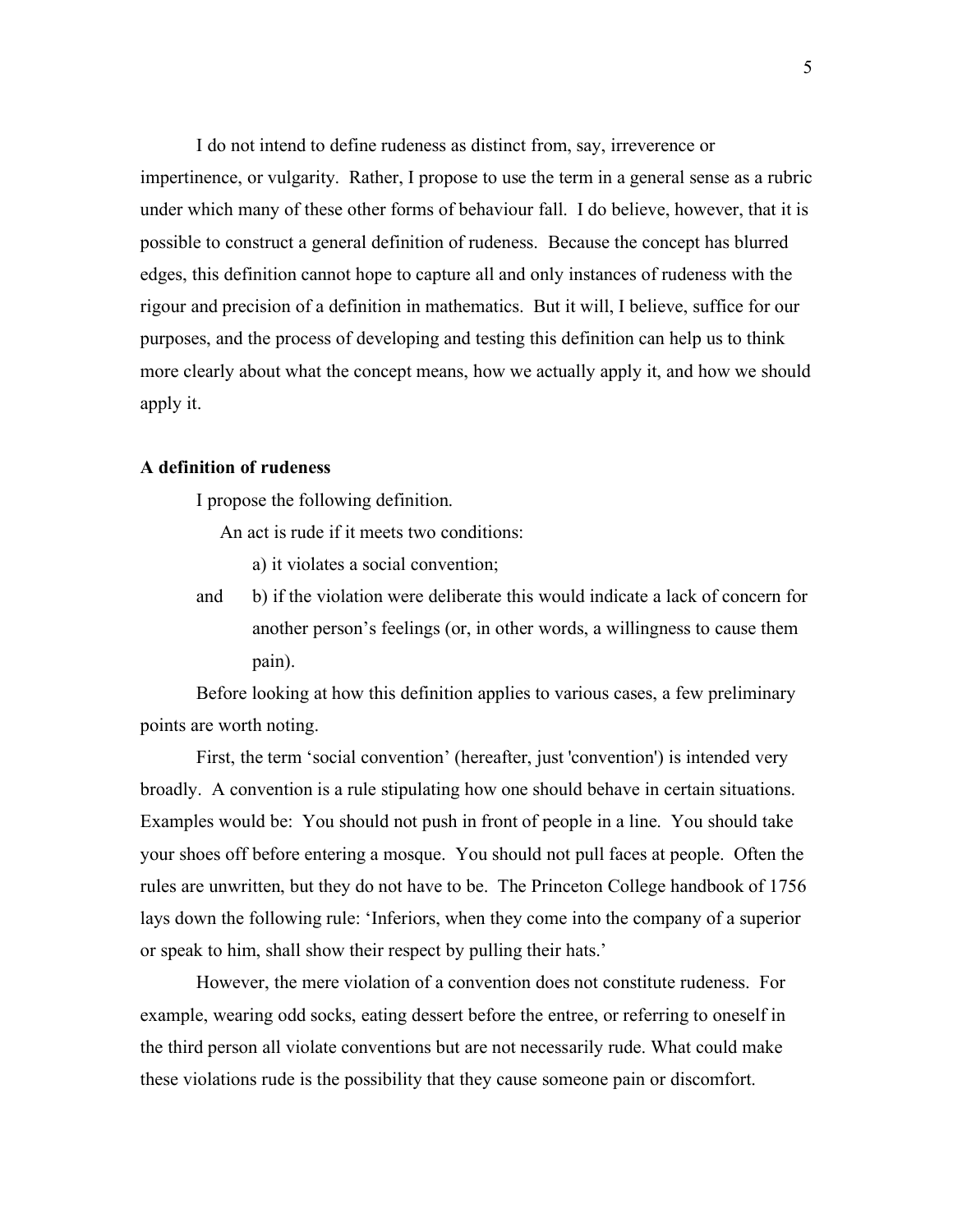I do not intend to define rudeness as distinct from, say, irreverence or impertinence, or vulgarity. Rather, I propose to use the term in a general sense as a rubric under which many of these other forms of behaviour fall. I do believe, however, that it is possible to construct a general definition of rudeness. Because the concept has blurred edges, this definition cannot hope to capture all and only instances of rudeness with the rigour and precision of a definition in mathematics. But it will, I believe, suffice for our purposes, and the process of developing and testing this definition can help us to think more clearly about what the concept means, how we actually apply it, and how we should apply it.

#### A definition of rudeness

I propose the following definition.

An act is rude if it meets two conditions:

a) it violates a social convention;

and b) if the violation were deliberate this would indicate a lack of concern for another person's feelings (or, in other words, a willingness to cause them pain).

Before looking at how this definition applies to various cases, a few preliminary points are worth noting.

First, the term 'social convention' (hereafter, just 'convention') is intended very broadly. A convention is a rule stipulating how one should behave in certain situations. Examples would be: You should not push in front of people in a line. You should take your shoes off before entering a mosque. You should not pull faces at people. Often the rules are unwritten, but they do not have to be. The Princeton College handbook of 1756 lays down the following rule: 'Inferiors, when they come into the company of a superior or speak to him, shall show their respect by pulling their hats.'

However, the mere violation of a convention does not constitute rudeness. For example, wearing odd socks, eating dessert before the entree, or referring to oneself in the third person all violate conventions but are not necessarily rude. What could make these violations rude is the possibility that they cause someone pain or discomfort.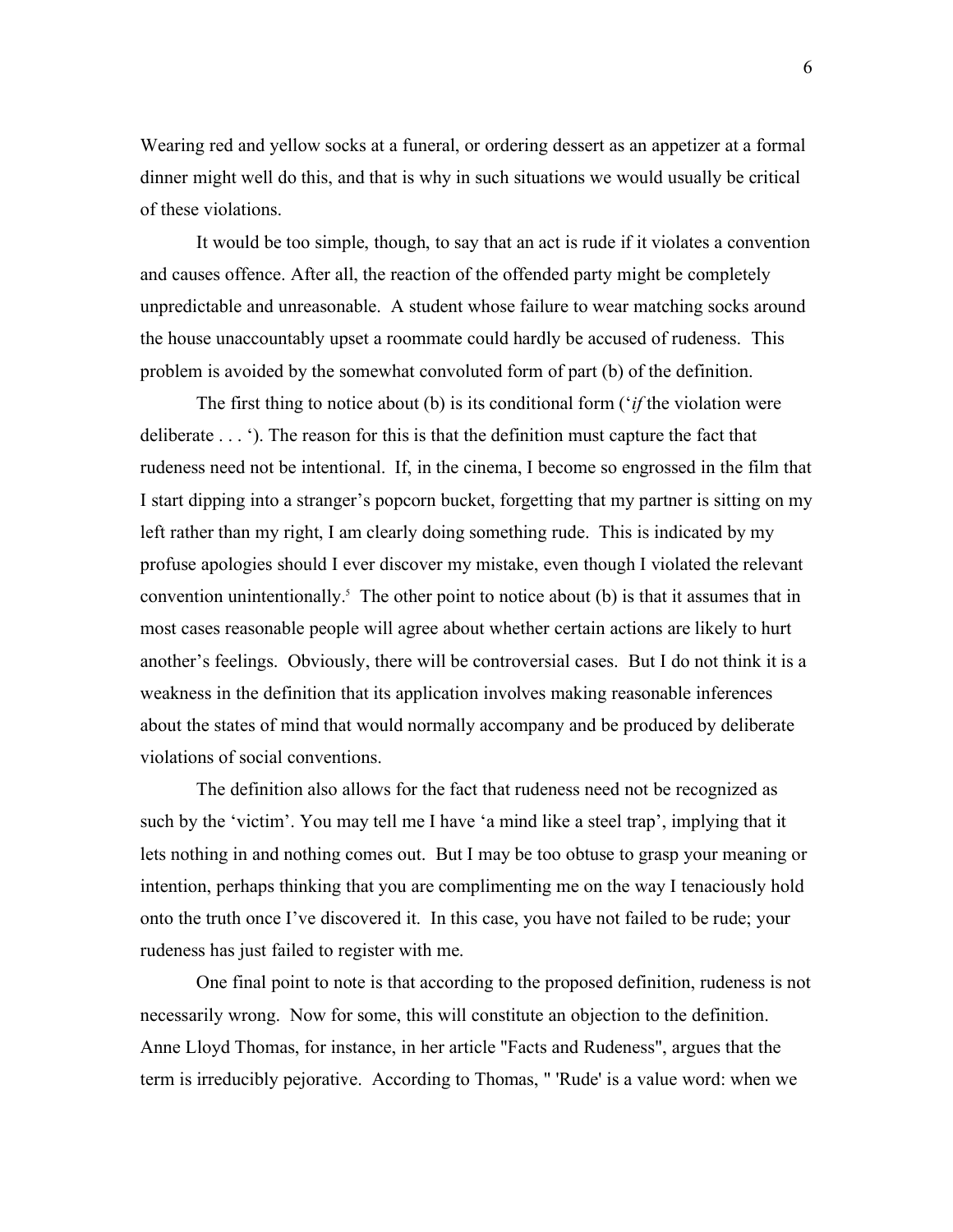Wearing red and yellow socks at a funeral, or ordering dessert as an appetizer at a formal dinner might well do this, and that is why in such situations we would usually be critical of these violations.

It would be too simple, though, to say that an act is rude if it violates a convention and causes offence. After all, the reaction of the offended party might be completely unpredictable and unreasonable. A student whose failure to wear matching socks around the house unaccountably upset a roommate could hardly be accused of rudeness. This problem is avoided by the somewhat convoluted form of part (b) of the definition.

The first thing to notice about (b) is its conditional form ('*if* the violation were deliberate . . . '). The reason for this is that the definition must capture the fact that rudeness need not be intentional. If, in the cinema, I become so engrossed in the film that I start dipping into a stranger's popcorn bucket, forgetting that my partner is sitting on my left rather than my right, I am clearly doing something rude. This is indicated by my profuse apologies should I ever discover my mistake, even though I violated the relevant convention unintentionally.<sup>5</sup> The other point to notice about (b) is that it assumes that in most cases reasonable people will agree about whether certain actions are likely to hurt another's feelings. Obviously, there will be controversial cases. But I do not think it is a weakness in the definition that its application involves making reasonable inferences about the states of mind that would normally accompany and be produced by deliberate violations of social conventions.

The definition also allows for the fact that rudeness need not be recognized as such by the 'victim'. You may tell me I have 'a mind like a steel trap', implying that it lets nothing in and nothing comes out. But I may be too obtuse to grasp your meaning or intention, perhaps thinking that you are complimenting me on the way I tenaciously hold onto the truth once I've discovered it. In this case, you have not failed to be rude; your rudeness has just failed to register with me.

One final point to note is that according to the proposed definition, rudeness is not necessarily wrong. Now for some, this will constitute an objection to the definition. Anne Lloyd Thomas, for instance, in her article "Facts and Rudeness", argues that the term is irreducibly pejorative. According to Thomas, " 'Rude' is a value word: when we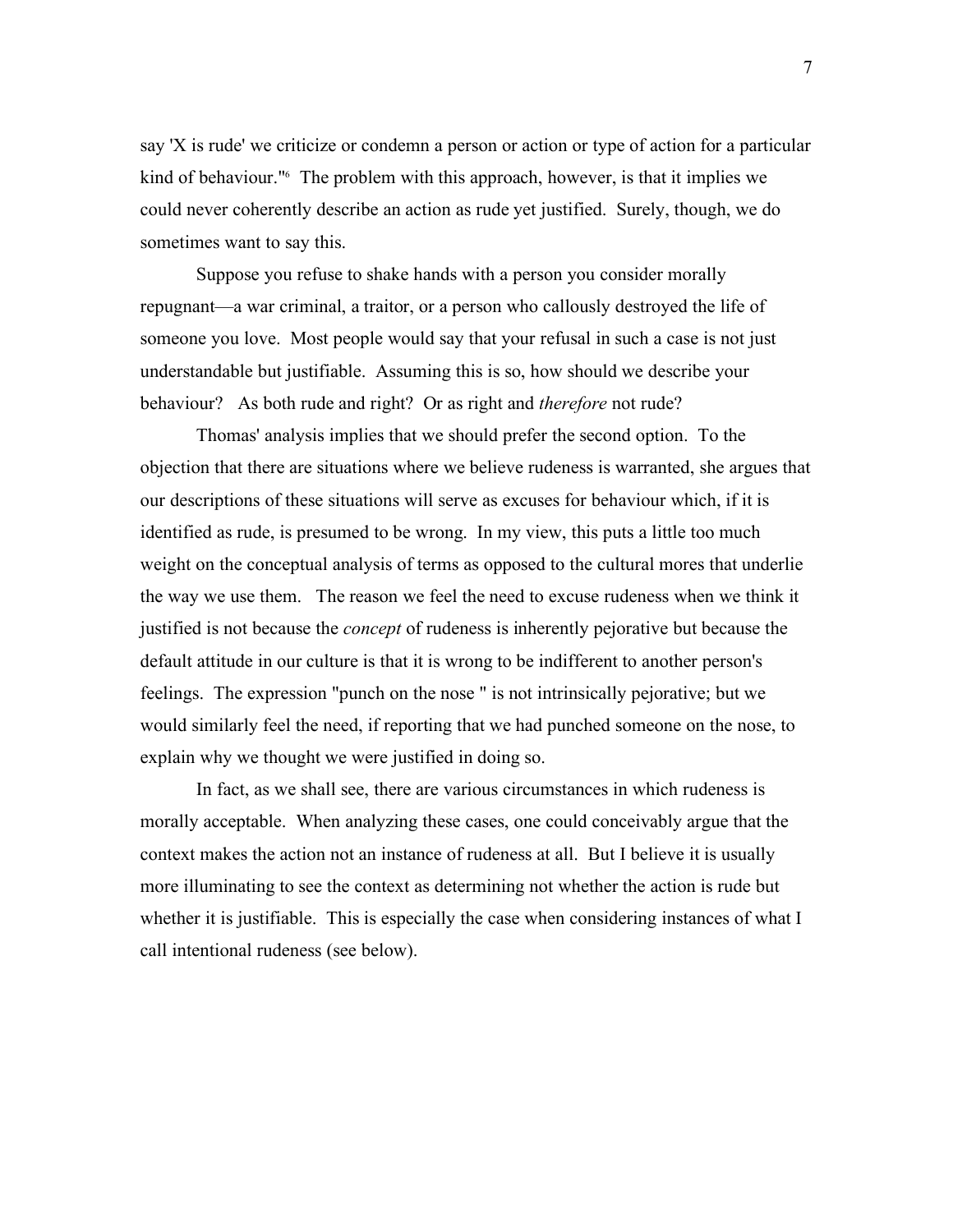say 'X is rude' we criticize or condemn a person or action or type of action for a particular kind of behaviour."6 The problem with this approach, however, is that it implies we could never coherently describe an action as rude yet justified. Surely, though, we do sometimes want to say this.

Suppose you refuse to shake hands with a person you consider morally repugnant—a war criminal, a traitor, or a person who callously destroyed the life of someone you love. Most people would say that your refusal in such a case is not just understandable but justifiable. Assuming this is so, how should we describe your behaviour? As both rude and right? Or as right and *therefore* not rude?

Thomas' analysis implies that we should prefer the second option. To the objection that there are situations where we believe rudeness is warranted, she argues that our descriptions of these situations will serve as excuses for behaviour which, if it is identified as rude, is presumed to be wrong. In my view, this puts a little too much weight on the conceptual analysis of terms as opposed to the cultural mores that underlie the way we use them. The reason we feel the need to excuse rudeness when we think it justified is not because the *concept* of rudeness is inherently pejorative but because the default attitude in our culture is that it is wrong to be indifferent to another person's feelings. The expression "punch on the nose " is not intrinsically pejorative; but we would similarly feel the need, if reporting that we had punched someone on the nose, to explain why we thought we were justified in doing so.

In fact, as we shall see, there are various circumstances in which rudeness is morally acceptable. When analyzing these cases, one could conceivably argue that the context makes the action not an instance of rudeness at all. But I believe it is usually more illuminating to see the context as determining not whether the action is rude but whether it is justifiable. This is especially the case when considering instances of what I call intentional rudeness (see below).

7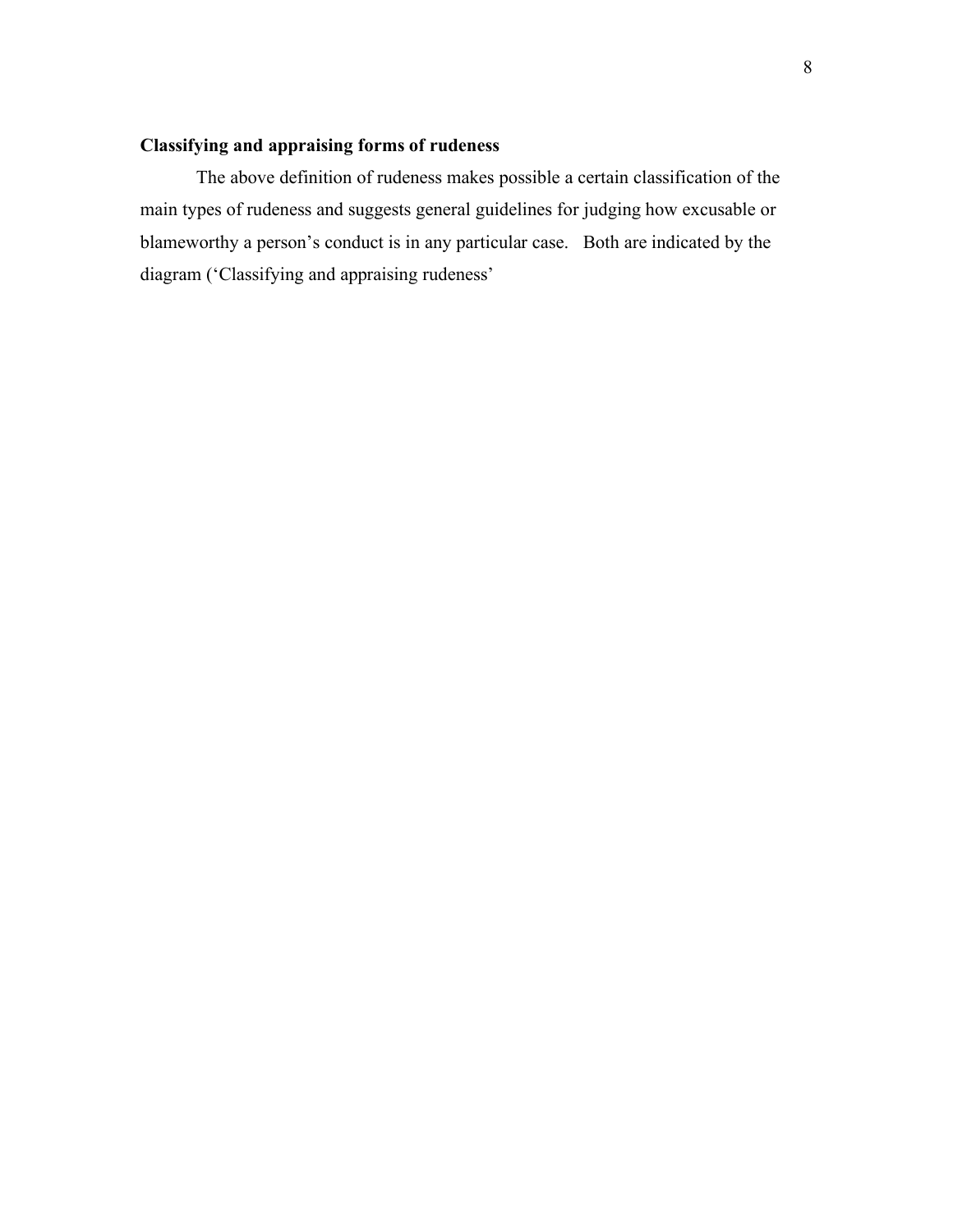## Classifying and appraising forms of rudeness

The above definition of rudeness makes possible a certain classification of the main types of rudeness and suggests general guidelines for judging how excusable or blameworthy a person's conduct is in any particular case. Both are indicated by the diagram ('Classifying and appraising rudeness'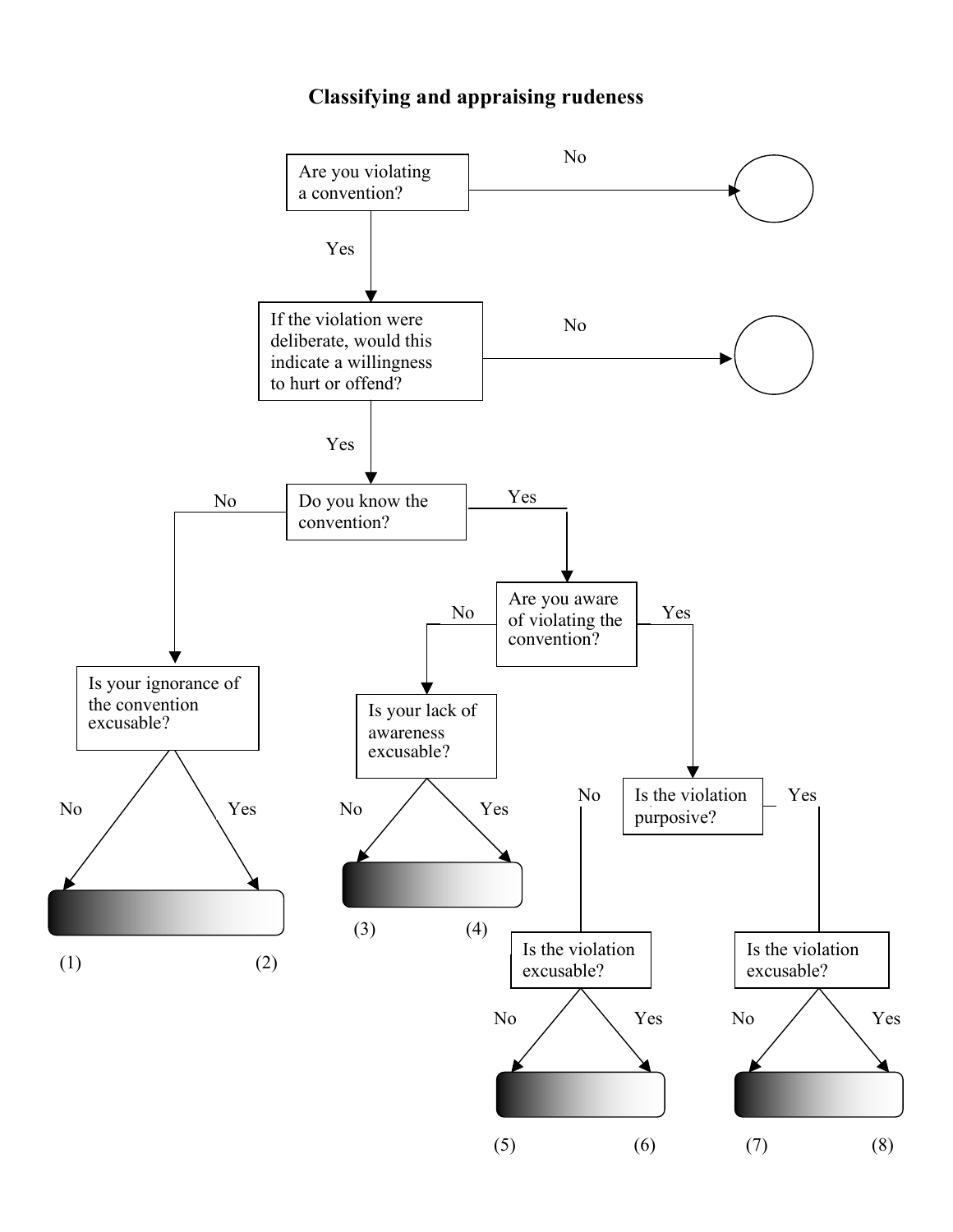# Classifying and appraising rudeness

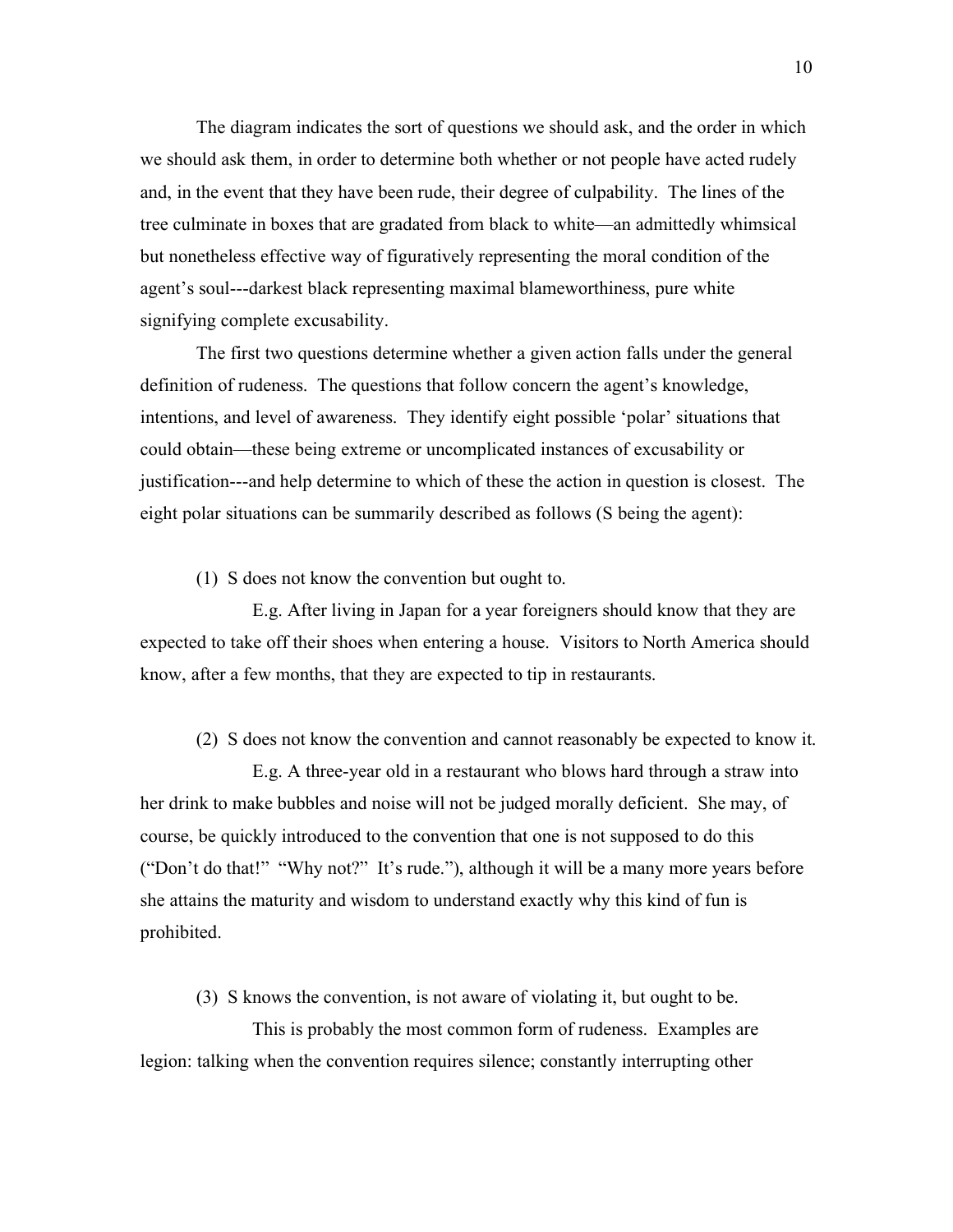The diagram indicates the sort of questions we should ask, and the order in which we should ask them, in order to determine both whether or not people have acted rudely and, in the event that they have been rude, their degree of culpability. The lines of the tree culminate in boxes that are gradated from black to white—an admittedly whimsical but nonetheless effective way of figuratively representing the moral condition of the agent's soul---darkest black representing maximal blameworthiness, pure white signifying complete excusability.

The first two questions determine whether a given action falls under the general definition of rudeness. The questions that follow concern the agent's knowledge, intentions, and level of awareness. They identify eight possible 'polar' situations that could obtain—these being extreme or uncomplicated instances of excusability or justification---and help determine to which of these the action in question is closest. The eight polar situations can be summarily described as follows (S being the agent):

(1) S does not know the convention but ought to.

E.g. After living in Japan for a year foreigners should know that they are expected to take off their shoes when entering a house. Visitors to North America should know, after a few months, that they are expected to tip in restaurants.

(2) S does not know the convention and cannot reasonably be expected to know it.

E.g. A three-year old in a restaurant who blows hard through a straw into her drink to make bubbles and noise will not be judged morally deficient. She may, of course, be quickly introduced to the convention that one is not supposed to do this ("Don't do that!" "Why not?" It's rude."), although it will be a many more years before she attains the maturity and wisdom to understand exactly why this kind of fun is prohibited.

(3) S knows the convention, is not aware of violating it, but ought to be.

This is probably the most common form of rudeness. Examples are legion: talking when the convention requires silence; constantly interrupting other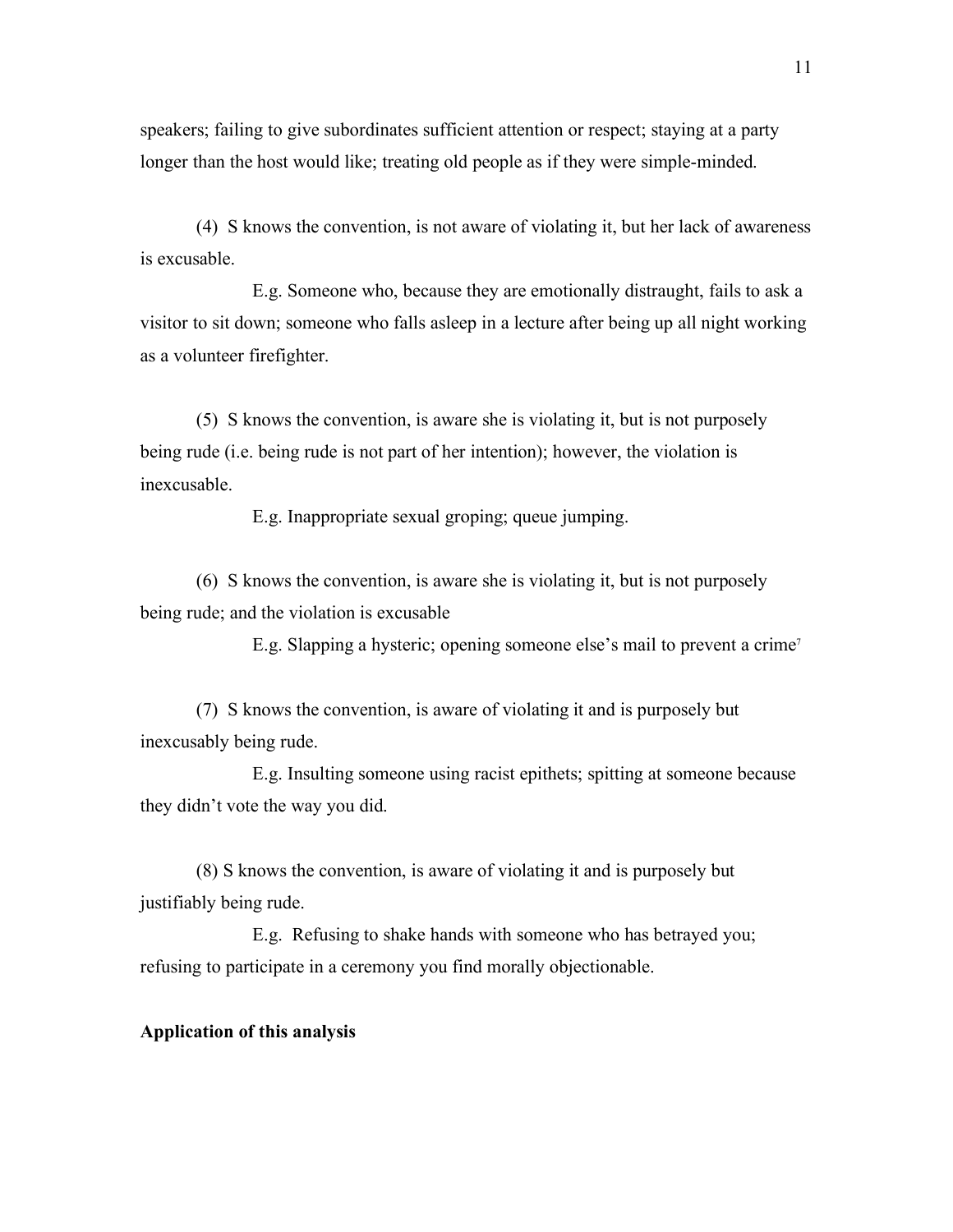speakers; failing to give subordinates sufficient attention or respect; staying at a party longer than the host would like; treating old people as if they were simple-minded.

(4) S knows the convention, is not aware of violating it, but her lack of awareness is excusable.

E.g. Someone who, because they are emotionally distraught, fails to ask a visitor to sit down; someone who falls asleep in a lecture after being up all night working as a volunteer firefighter.

(5) S knows the convention, is aware she is violating it, but is not purposely being rude (i.e. being rude is not part of her intention); however, the violation is inexcusable.

E.g. Inappropriate sexual groping; queue jumping.

(6) S knows the convention, is aware she is violating it, but is not purposely being rude; and the violation is excusable

E.g. Slapping a hysteric; opening someone else's mail to prevent a crime<sup>7</sup>

(7) S knows the convention, is aware of violating it and is purposely but inexcusably being rude.

E.g. Insulting someone using racist epithets; spitting at someone because they didn't vote the way you did.

(8) S knows the convention, is aware of violating it and is purposely but justifiably being rude.

E.g. Refusing to shake hands with someone who has betrayed you; refusing to participate in a ceremony you find morally objectionable.

#### Application of this analysis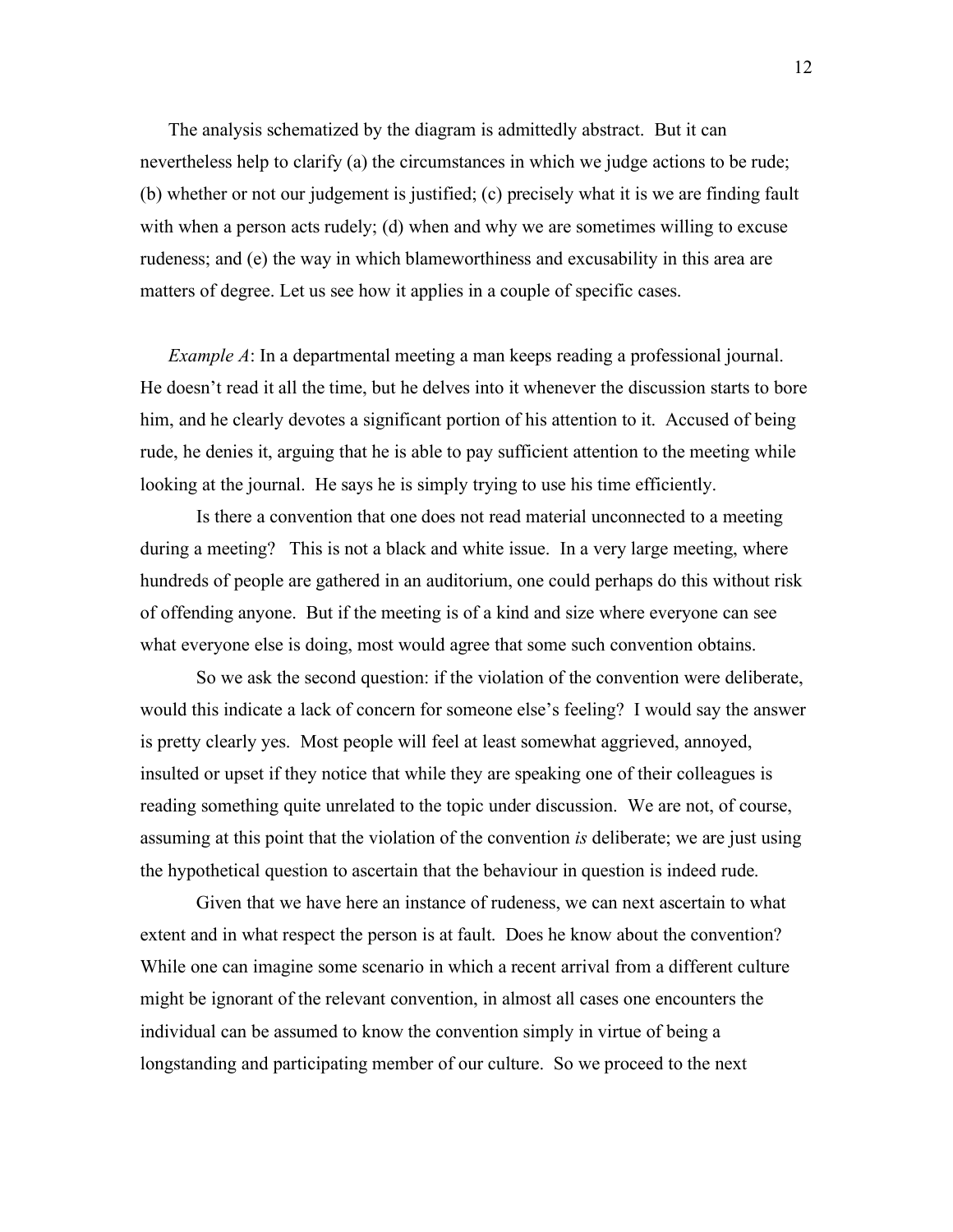The analysis schematized by the diagram is admittedly abstract. But it can nevertheless help to clarify (a) the circumstances in which we judge actions to be rude; (b) whether or not our judgement is justified; (c) precisely what it is we are finding fault with when a person acts rudely; (d) when and why we are sometimes willing to excuse rudeness; and (e) the way in which blameworthiness and excusability in this area are matters of degree. Let us see how it applies in a couple of specific cases.

*Example A*: In a departmental meeting a man keeps reading a professional journal. He doesn't read it all the time, but he delves into it whenever the discussion starts to bore him, and he clearly devotes a significant portion of his attention to it. Accused of being rude, he denies it, arguing that he is able to pay sufficient attention to the meeting while looking at the journal. He says he is simply trying to use his time efficiently.

Is there a convention that one does not read material unconnected to a meeting during a meeting? This is not a black and white issue. In a very large meeting, where hundreds of people are gathered in an auditorium, one could perhaps do this without risk of offending anyone. But if the meeting is of a kind and size where everyone can see what everyone else is doing, most would agree that some such convention obtains.

So we ask the second question: if the violation of the convention were deliberate, would this indicate a lack of concern for someone else's feeling? I would say the answer is pretty clearly yes. Most people will feel at least somewhat aggrieved, annoyed, insulted or upset if they notice that while they are speaking one of their colleagues is reading something quite unrelated to the topic under discussion. We are not, of course, assuming at this point that the violation of the convention *is* deliberate; we are just using the hypothetical question to ascertain that the behaviour in question is indeed rude.

Given that we have here an instance of rudeness, we can next ascertain to what extent and in what respect the person is at fault. Does he know about the convention? While one can imagine some scenario in which a recent arrival from a different culture might be ignorant of the relevant convention, in almost all cases one encounters the individual can be assumed to know the convention simply in virtue of being a longstanding and participating member of our culture. So we proceed to the next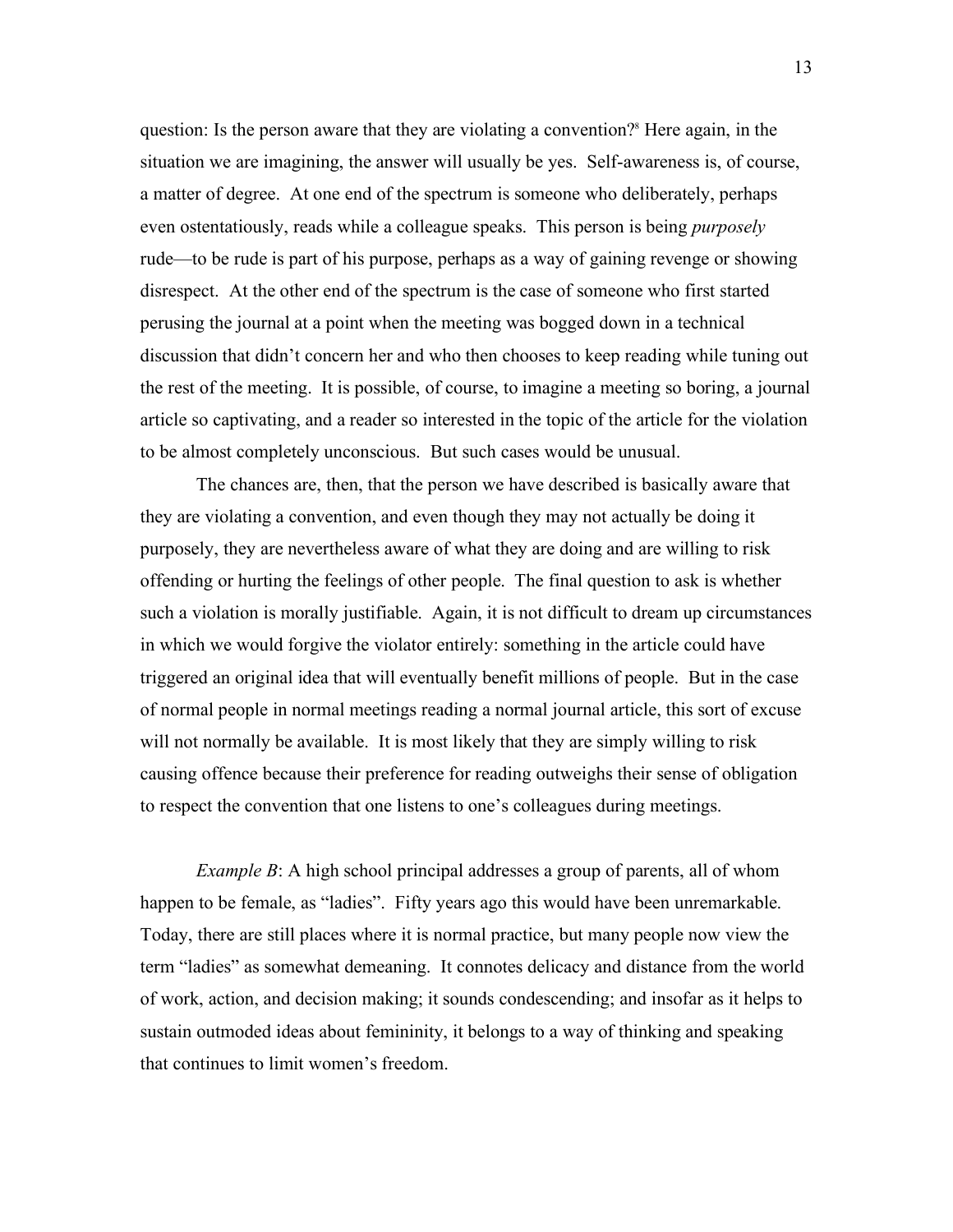question: Is the person aware that they are violating a convention?8 Here again, in the situation we are imagining, the answer will usually be yes. Self-awareness is, of course, a matter of degree. At one end of the spectrum is someone who deliberately, perhaps even ostentatiously, reads while a colleague speaks. This person is being *purposely* rude—to be rude is part of his purpose, perhaps as a way of gaining revenge or showing disrespect. At the other end of the spectrum is the case of someone who first started perusing the journal at a point when the meeting was bogged down in a technical discussion that didn't concern her and who then chooses to keep reading while tuning out the rest of the meeting. It is possible, of course, to imagine a meeting so boring, a journal article so captivating, and a reader so interested in the topic of the article for the violation to be almost completely unconscious. But such cases would be unusual.

The chances are, then, that the person we have described is basically aware that they are violating a convention, and even though they may not actually be doing it purposely, they are nevertheless aware of what they are doing and are willing to risk offending or hurting the feelings of other people. The final question to ask is whether such a violation is morally justifiable. Again, it is not difficult to dream up circumstances in which we would forgive the violator entirely: something in the article could have triggered an original idea that will eventually benefit millions of people. But in the case of normal people in normal meetings reading a normal journal article, this sort of excuse will not normally be available. It is most likely that they are simply willing to risk causing offence because their preference for reading outweighs their sense of obligation to respect the convention that one listens to one's colleagues during meetings.

*Example B*: A high school principal addresses a group of parents, all of whom happen to be female, as "ladies". Fifty years ago this would have been unremarkable. Today, there are still places where it is normal practice, but many people now view the term "ladies" as somewhat demeaning. It connotes delicacy and distance from the world of work, action, and decision making; it sounds condescending; and insofar as it helps to sustain outmoded ideas about femininity, it belongs to a way of thinking and speaking that continues to limit women's freedom.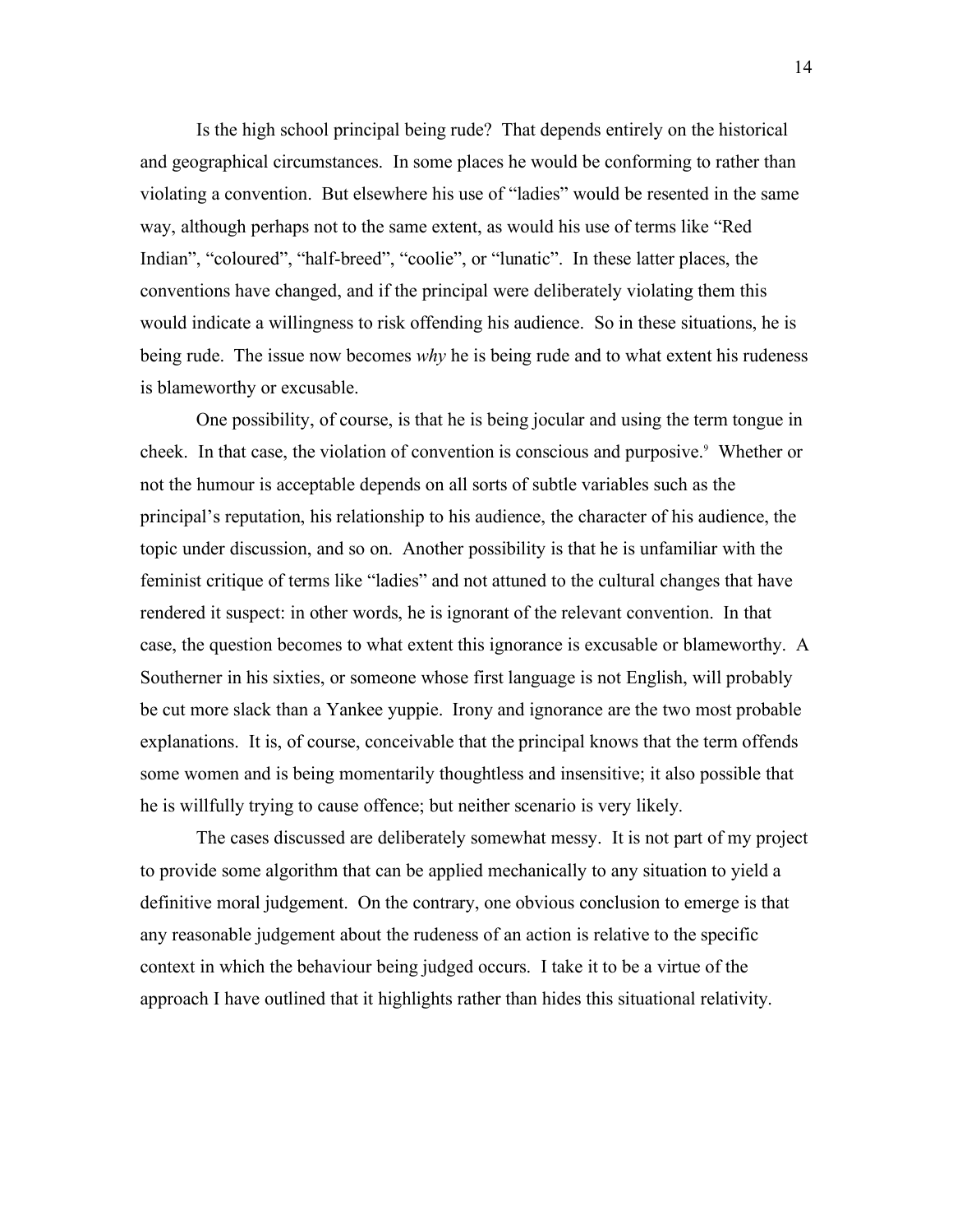Is the high school principal being rude? That depends entirely on the historical and geographical circumstances. In some places he would be conforming to rather than violating a convention. But elsewhere his use of "ladies" would be resented in the same way, although perhaps not to the same extent, as would his use of terms like "Red Indian", "coloured", "half-breed", "coolie", or "lunatic". In these latter places, the conventions have changed, and if the principal were deliberately violating them this would indicate a willingness to risk offending his audience. So in these situations, he is being rude. The issue now becomes *why* he is being rude and to what extent his rudeness is blameworthy or excusable.

One possibility, of course, is that he is being jocular and using the term tongue in cheek. In that case, the violation of convention is conscious and purposive. <sup>9</sup> Whether or not the humour is acceptable depends on all sorts of subtle variables such as the principal's reputation, his relationship to his audience, the character of his audience, the topic under discussion, and so on. Another possibility is that he is unfamiliar with the feminist critique of terms like "ladies" and not attuned to the cultural changes that have rendered it suspect: in other words, he is ignorant of the relevant convention. In that case, the question becomes to what extent this ignorance is excusable or blameworthy. A Southerner in his sixties, or someone whose first language is not English, will probably be cut more slack than a Yankee yuppie. Irony and ignorance are the two most probable explanations. It is, of course, conceivable that the principal knows that the term offends some women and is being momentarily thoughtless and insensitive; it also possible that he is willfully trying to cause offence; but neither scenario is very likely.

The cases discussed are deliberately somewhat messy. It is not part of my project to provide some algorithm that can be applied mechanically to any situation to yield a definitive moral judgement. On the contrary, one obvious conclusion to emerge is that any reasonable judgement about the rudeness of an action is relative to the specific context in which the behaviour being judged occurs. I take it to be a virtue of the approach I have outlined that it highlights rather than hides this situational relativity.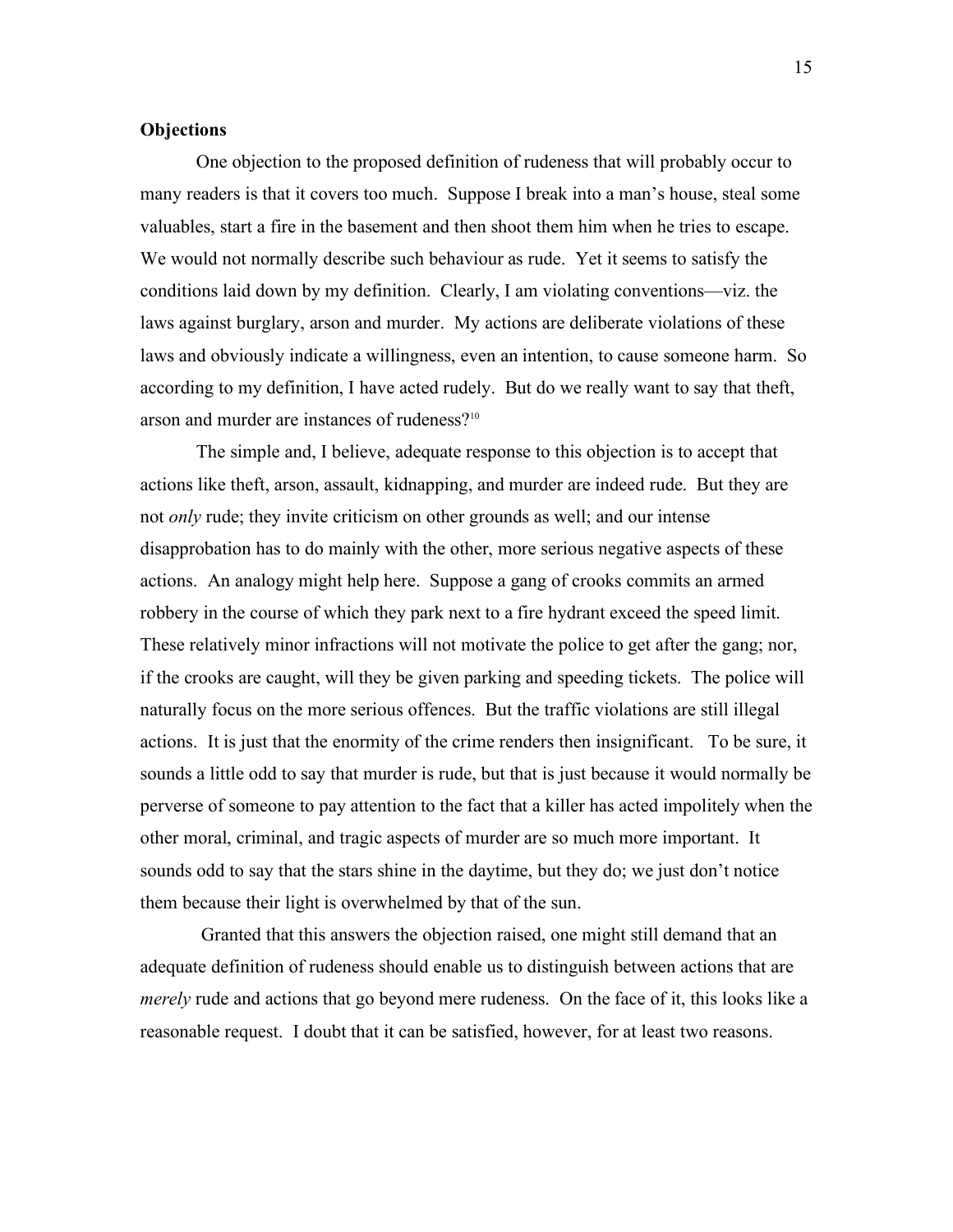#### **Objections**

One objection to the proposed definition of rudeness that will probably occur to many readers is that it covers too much. Suppose I break into a man's house, steal some valuables, start a fire in the basement and then shoot them him when he tries to escape. We would not normally describe such behaviour as rude. Yet it seems to satisfy the conditions laid down by my definition. Clearly, I am violating conventions—viz. the laws against burglary, arson and murder. My actions are deliberate violations of these laws and obviously indicate a willingness, even an intention, to cause someone harm. So according to my definition, I have acted rudely. But do we really want to say that theft, arson and murder are instances of rudeness?10

The simple and, I believe, adequate response to this objection is to accept that actions like theft, arson, assault, kidnapping, and murder are indeed rude. But they are not *only* rude; they invite criticism on other grounds as well; and our intense disapprobation has to do mainly with the other, more serious negative aspects of these actions. An analogy might help here. Suppose a gang of crooks commits an armed robbery in the course of which they park next to a fire hydrant exceed the speed limit. These relatively minor infractions will not motivate the police to get after the gang; nor, if the crooks are caught, will they be given parking and speeding tickets. The police will naturally focus on the more serious offences. But the traffic violations are still illegal actions. It is just that the enormity of the crime renders then insignificant. To be sure, it sounds a little odd to say that murder is rude, but that is just because it would normally be perverse of someone to pay attention to the fact that a killer has acted impolitely when the other moral, criminal, and tragic aspects of murder are so much more important. It sounds odd to say that the stars shine in the daytime, but they do; we just don't notice them because their light is overwhelmed by that of the sun.

Granted that this answers the objection raised, one might still demand that an adequate definition of rudeness should enable us to distinguish between actions that are *merely* rude and actions that go beyond mere rudeness. On the face of it, this looks like a reasonable request. I doubt that it can be satisfied, however, for at least two reasons.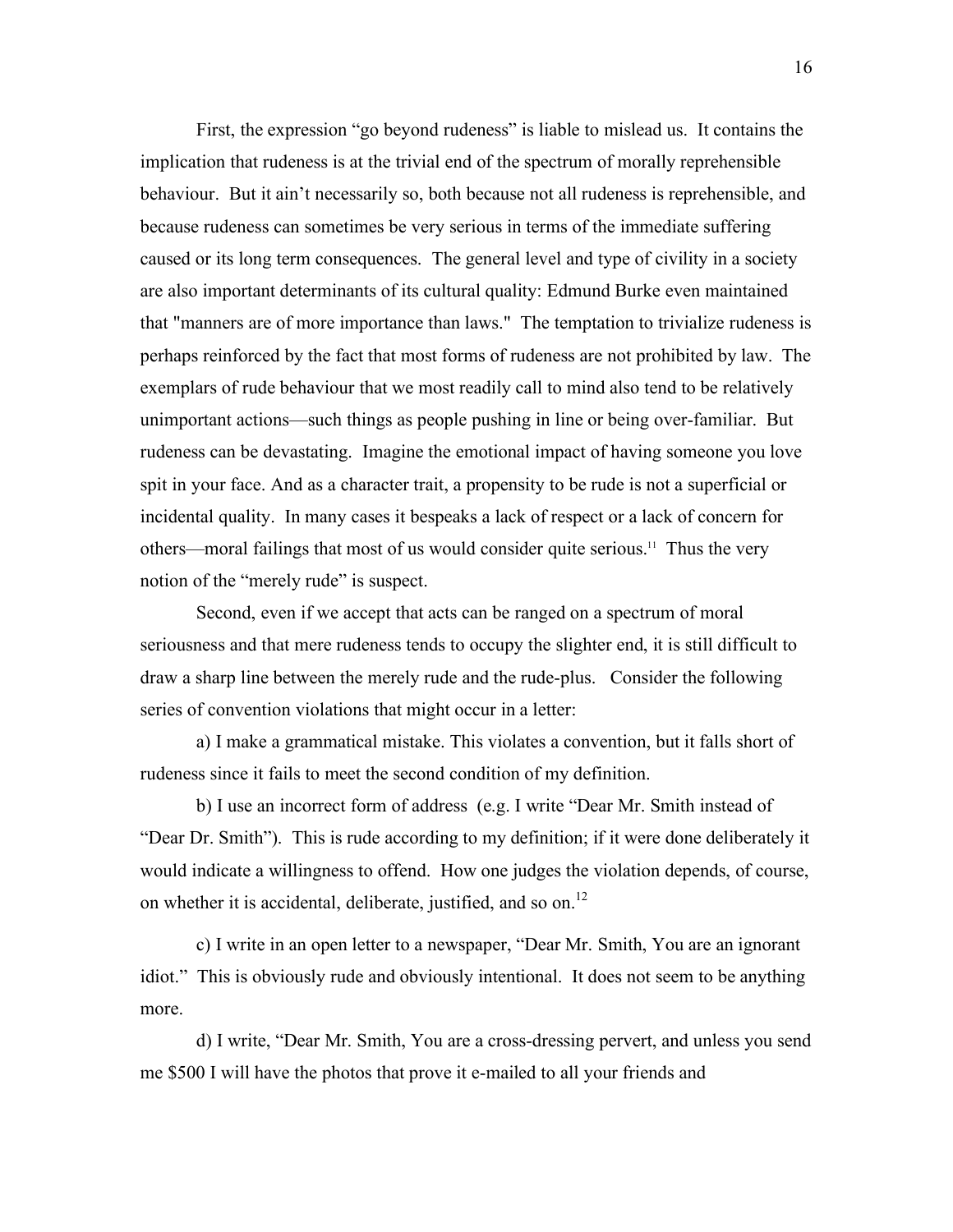First, the expression "go beyond rudeness" is liable to mislead us. It contains the implication that rudeness is at the trivial end of the spectrum of morally reprehensible behaviour. But it ain't necessarily so, both because not all rudeness is reprehensible, and because rudeness can sometimes be very serious in terms of the immediate suffering caused or its long term consequences. The general level and type of civility in a society are also important determinants of its cultural quality: Edmund Burke even maintained that "manners are of more importance than laws." The temptation to trivialize rudeness is perhaps reinforced by the fact that most forms of rudeness are not prohibited by law. The exemplars of rude behaviour that we most readily call to mind also tend to be relatively unimportant actions—such things as people pushing in line or being over-familiar. But rudeness can be devastating. Imagine the emotional impact of having someone you love spit in your face. And as a character trait, a propensity to be rude is not a superficial or incidental quality. In many cases it bespeaks a lack of respect or a lack of concern for others—moral failings that most of us would consider quite serious.<sup>11</sup> Thus the very notion of the "merely rude" is suspect.

Second, even if we accept that acts can be ranged on a spectrum of moral seriousness and that mere rudeness tends to occupy the slighter end, it is still difficult to draw a sharp line between the merely rude and the rude-plus. Consider the following series of convention violations that might occur in a letter:

a) I make a grammatical mistake. This violates a convention, but it falls short of rudeness since it fails to meet the second condition of my definition.

b) I use an incorrect form of address (e.g. I write "Dear Mr. Smith instead of "Dear Dr. Smith"). This is rude according to my definition; if it were done deliberately it would indicate a willingness to offend. How one judges the violation depends, of course, on whether it is accidental, deliberate, justified, and so on.<sup>12</sup>

c) I write in an open letter to a newspaper, "Dear Mr. Smith, You are an ignorant idiot." This is obviously rude and obviously intentional. It does not seem to be anything more.

d) I write, "Dear Mr. Smith, You are a cross-dressing pervert, and unless you send me \$500 I will have the photos that prove it e-mailed to all your friends and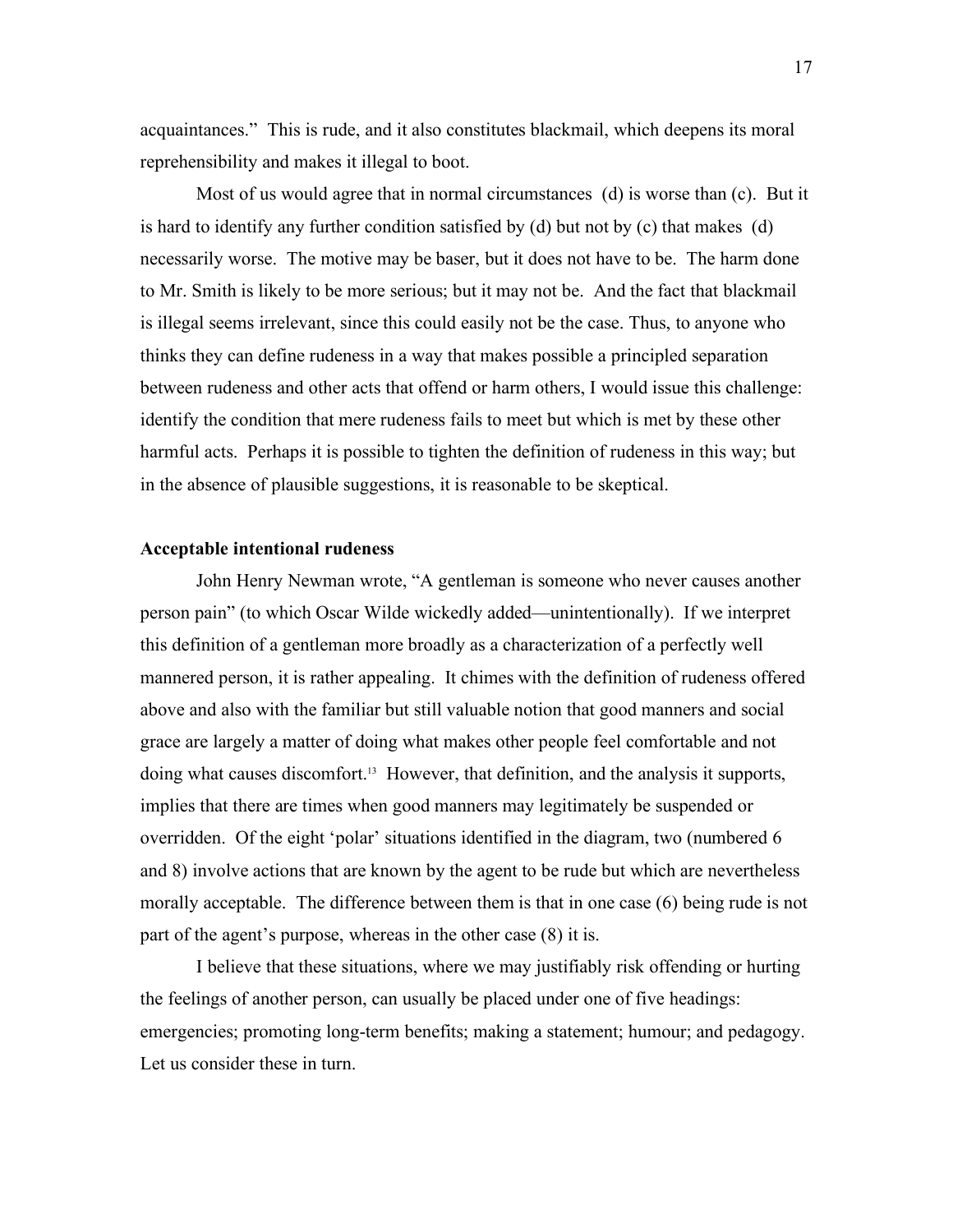acquaintances." This is rude, and it also constitutes blackmail, which deepens its moral reprehensibility and makes it illegal to boot.

Most of us would agree that in normal circumstances (d) is worse than (c). But it is hard to identify any further condition satisfied by (d) but not by (c) that makes (d) necessarily worse. The motive may be baser, but it does not have to be. The harm done to Mr. Smith is likely to be more serious; but it may not be. And the fact that blackmail is illegal seems irrelevant, since this could easily not be the case. Thus, to anyone who thinks they can define rudeness in a way that makes possible a principled separation between rudeness and other acts that offend or harm others, I would issue this challenge: identify the condition that mere rudeness fails to meet but which is met by these other harmful acts. Perhaps it is possible to tighten the definition of rudeness in this way; but in the absence of plausible suggestions, it is reasonable to be skeptical.

#### Acceptable intentional rudeness

John Henry Newman wrote, "A gentleman is someone who never causes another person pain" (to which Oscar Wilde wickedly added—unintentionally). If we interpret this definition of a gentleman more broadly as a characterization of a perfectly well mannered person, it is rather appealing. It chimes with the definition of rudeness offered above and also with the familiar but still valuable notion that good manners and social grace are largely a matter of doing what makes other people feel comfortable and not doing what causes discomfort. <sup>13</sup> However, that definition, and the analysis it supports, implies that there are times when good manners may legitimately be suspended or overridden. Of the eight 'polar' situations identified in the diagram, two (numbered 6 and 8) involve actions that are known by the agent to be rude but which are nevertheless morally acceptable. The difference between them is that in one case (6) being rude is not part of the agent's purpose, whereas in the other case (8) it is.

I believe that these situations, where we may justifiably risk offending or hurting the feelings of another person, can usually be placed under one of five headings: emergencies; promoting long-term benefits; making a statement; humour; and pedagogy. Let us consider these in turn.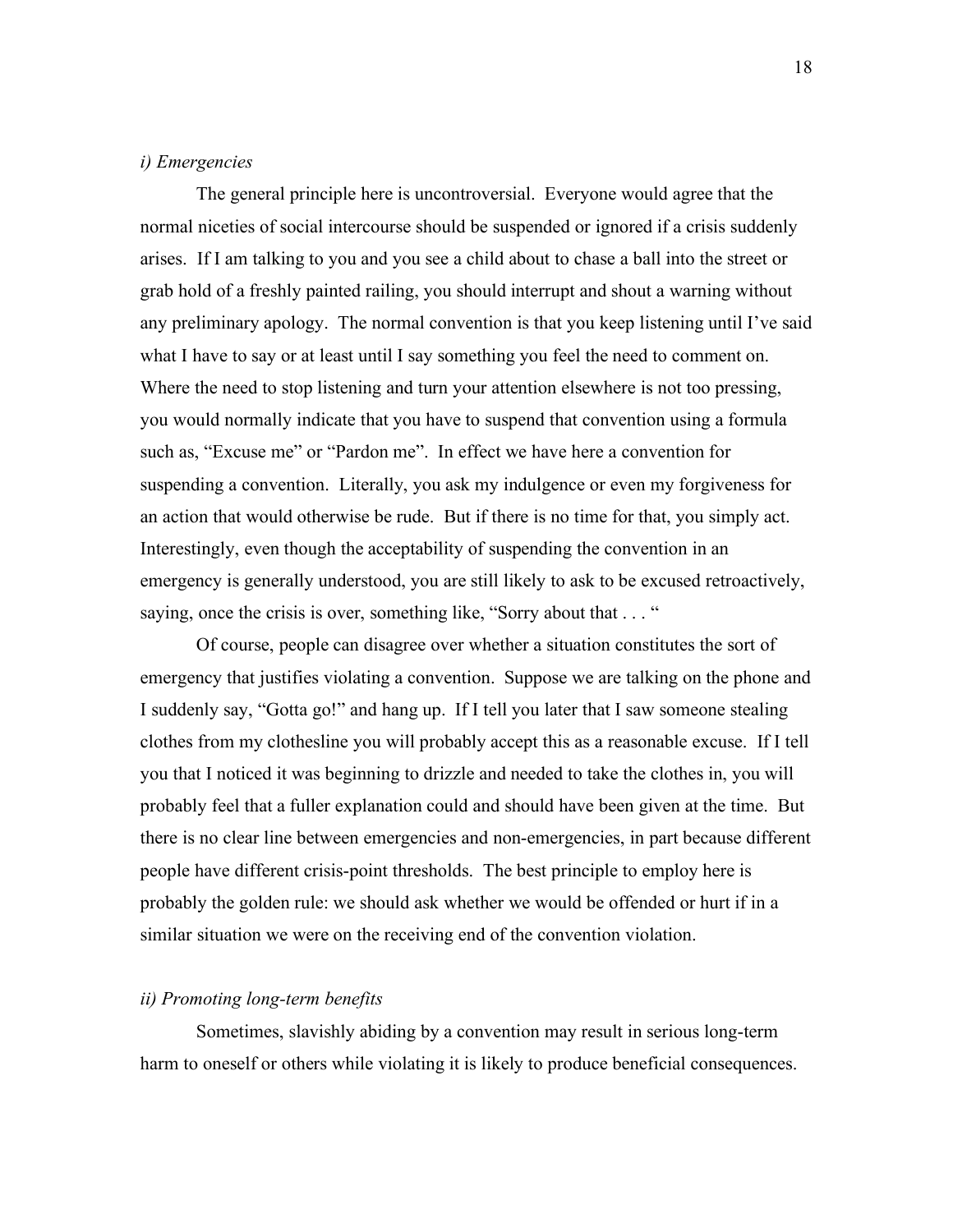#### *i) Emergencies*

The general principle here is uncontroversial. Everyone would agree that the normal niceties of social intercourse should be suspended or ignored if a crisis suddenly arises. If I am talking to you and you see a child about to chase a ball into the street or grab hold of a freshly painted railing, you should interrupt and shout a warning without any preliminary apology. The normal convention is that you keep listening until I've said what I have to say or at least until I say something you feel the need to comment on. Where the need to stop listening and turn your attention elsewhere is not too pressing, you would normally indicate that you have to suspend that convention using a formula such as, "Excuse me" or "Pardon me". In effect we have here a convention for suspending a convention. Literally, you ask my indulgence or even my forgiveness for an action that would otherwise be rude. But if there is no time for that, you simply act. Interestingly, even though the acceptability of suspending the convention in an emergency is generally understood, you are still likely to ask to be excused retroactively, saying, once the crisis is over, something like, "Sorry about that . . . "

Of course, people can disagree over whether a situation constitutes the sort of emergency that justifies violating a convention. Suppose we are talking on the phone and I suddenly say, "Gotta go!" and hang up. If I tell you later that I saw someone stealing clothes from my clothesline you will probably accept this as a reasonable excuse. If I tell you that I noticed it was beginning to drizzle and needed to take the clothes in, you will probably feel that a fuller explanation could and should have been given at the time. But there is no clear line between emergencies and non-emergencies, in part because different people have different crisis-point thresholds. The best principle to employ here is probably the golden rule: we should ask whether we would be offended or hurt if in a similar situation we were on the receiving end of the convention violation.

#### *ii) Promoting long-term benefits*

Sometimes, slavishly abiding by a convention may result in serious long-term harm to oneself or others while violating it is likely to produce beneficial consequences.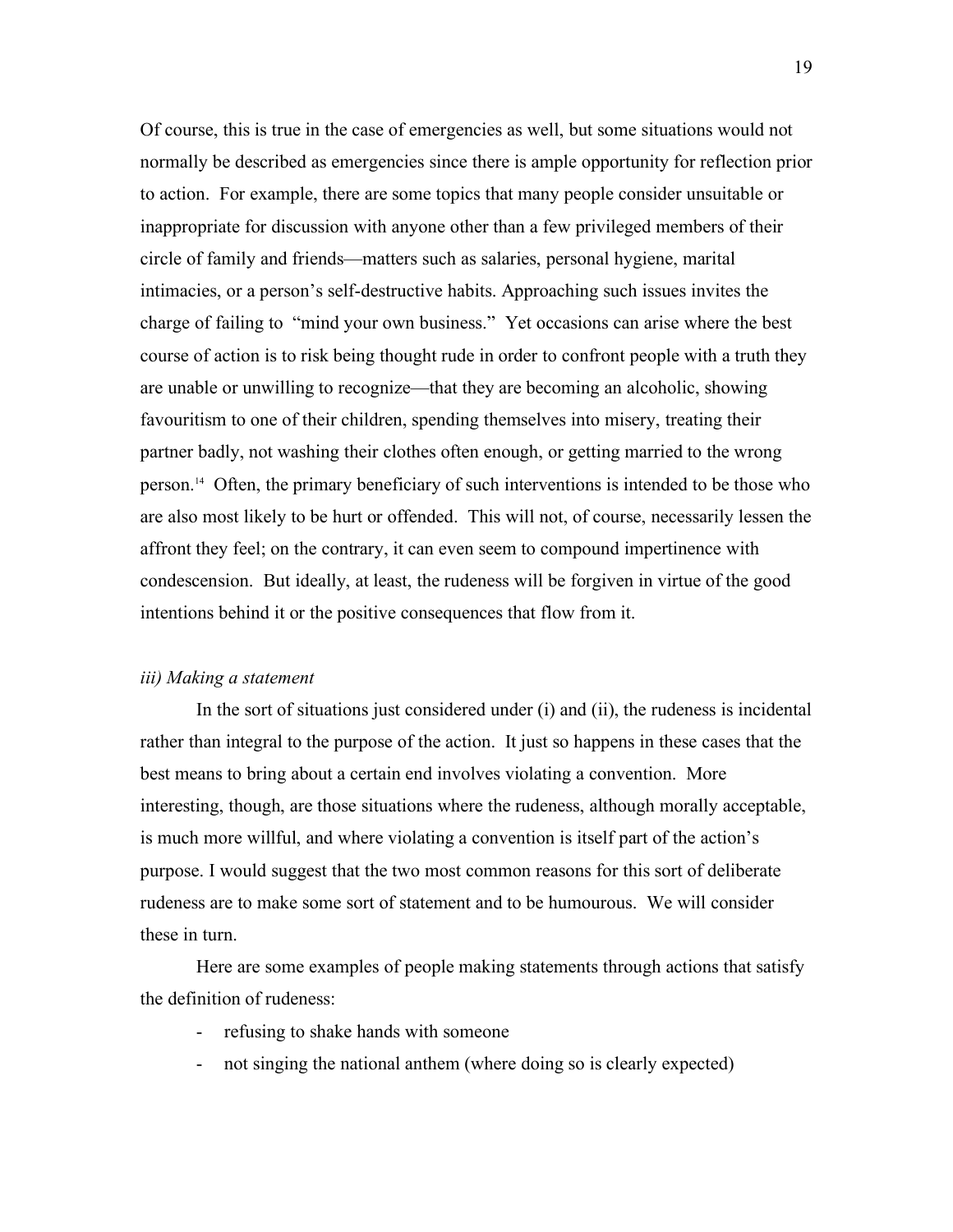Of course, this is true in the case of emergencies as well, but some situations would not normally be described as emergencies since there is ample opportunity for reflection prior to action. For example, there are some topics that many people consider unsuitable or inappropriate for discussion with anyone other than a few privileged members of their circle of family and friends—matters such as salaries, personal hygiene, marital intimacies, or a person's self-destructive habits. Approaching such issues invites the charge of failing to "mind your own business." Yet occasions can arise where the best course of action is to risk being thought rude in order to confront people with a truth they are unable or unwilling to recognize—that they are becoming an alcoholic, showing favouritism to one of their children, spending themselves into misery, treating their partner badly, not washing their clothes often enough, or getting married to the wrong person.14 Often, the primary beneficiary of such interventions is intended to be those who are also most likely to be hurt or offended. This will not, of course, necessarily lessen the affront they feel; on the contrary, it can even seem to compound impertinence with condescension. But ideally, at least, the rudeness will be forgiven in virtue of the good intentions behind it or the positive consequences that flow from it.

#### *iii) Making a statement*

In the sort of situations just considered under (i) and (ii), the rudeness is incidental rather than integral to the purpose of the action. It just so happens in these cases that the best means to bring about a certain end involves violating a convention. More interesting, though, are those situations where the rudeness, although morally acceptable, is much more willful, and where violating a convention is itself part of the action's purpose. I would suggest that the two most common reasons for this sort of deliberate rudeness are to make some sort of statement and to be humourous. We will consider these in turn.

Here are some examples of people making statements through actions that satisfy the definition of rudeness:

- refusing to shake hands with someone
- not singing the national anthem (where doing so is clearly expected)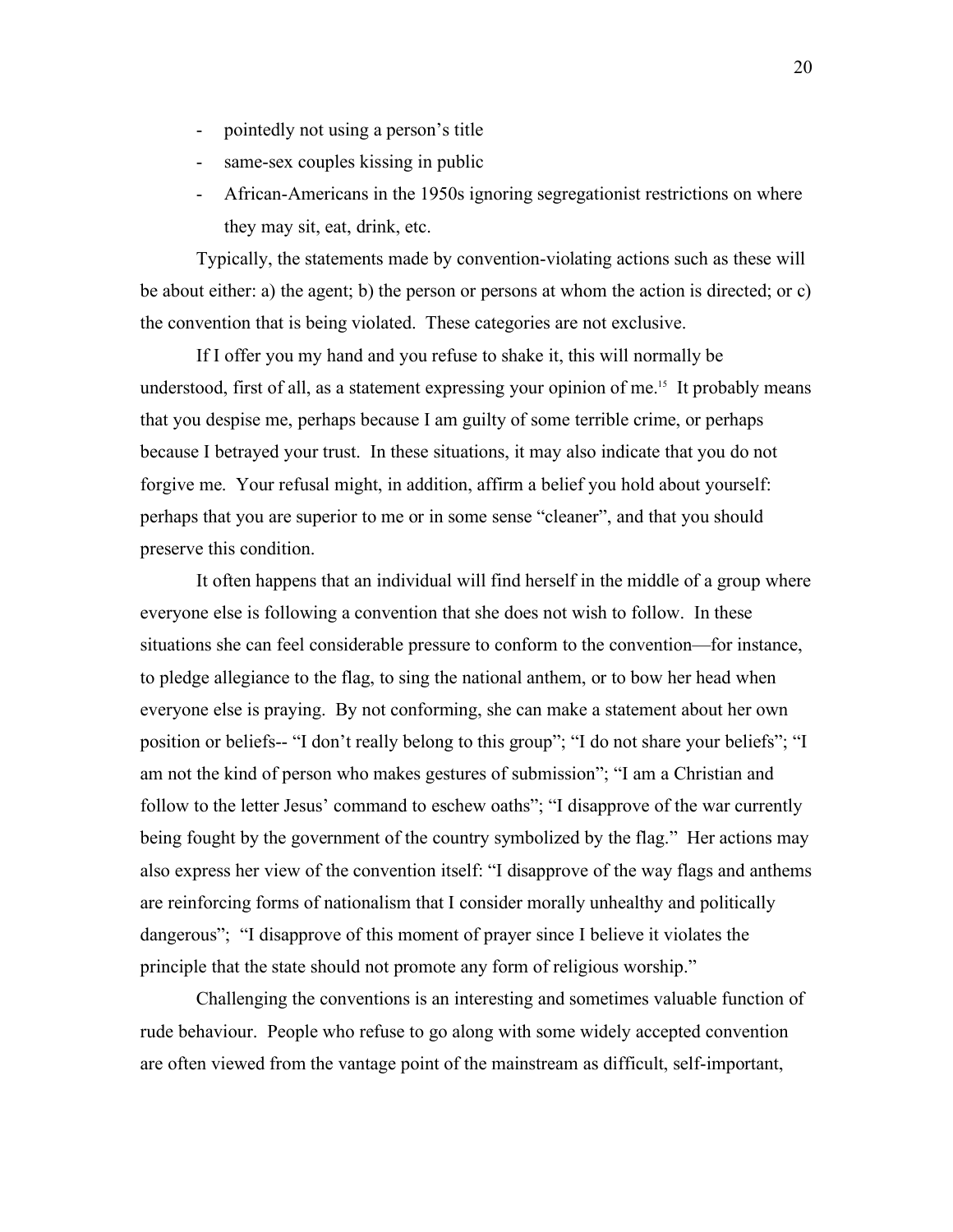- pointedly not using a person's title
- same-sex couples kissing in public
- African-Americans in the 1950s ignoring segregationist restrictions on where they may sit, eat, drink, etc.

Typically, the statements made by convention-violating actions such as these will be about either: a) the agent; b) the person or persons at whom the action is directed; or c) the convention that is being violated. These categories are not exclusive.

If I offer you my hand and you refuse to shake it, this will normally be understood, first of all, as a statement expressing your opinion of me. <sup>15</sup> It probably means that you despise me, perhaps because I am guilty of some terrible crime, or perhaps because I betrayed your trust. In these situations, it may also indicate that you do not forgive me. Your refusal might, in addition, affirm a belief you hold about yourself: perhaps that you are superior to me or in some sense "cleaner", and that you should preserve this condition.

It often happens that an individual will find herself in the middle of a group where everyone else is following a convention that she does not wish to follow. In these situations she can feel considerable pressure to conform to the convention—for instance, to pledge allegiance to the flag, to sing the national anthem, or to bow her head when everyone else is praying. By not conforming, she can make a statement about her own position or beliefs-- "I don't really belong to this group"; "I do not share your beliefs"; "I am not the kind of person who makes gestures of submission"; "I am a Christian and follow to the letter Jesus' command to eschew oaths"; "I disapprove of the war currently being fought by the government of the country symbolized by the flag." Her actions may also express her view of the convention itself: "I disapprove of the way flags and anthems are reinforcing forms of nationalism that I consider morally unhealthy and politically dangerous"; "I disapprove of this moment of prayer since I believe it violates the principle that the state should not promote any form of religious worship."

Challenging the conventions is an interesting and sometimes valuable function of rude behaviour. People who refuse to go along with some widely accepted convention are often viewed from the vantage point of the mainstream as difficult, self-important,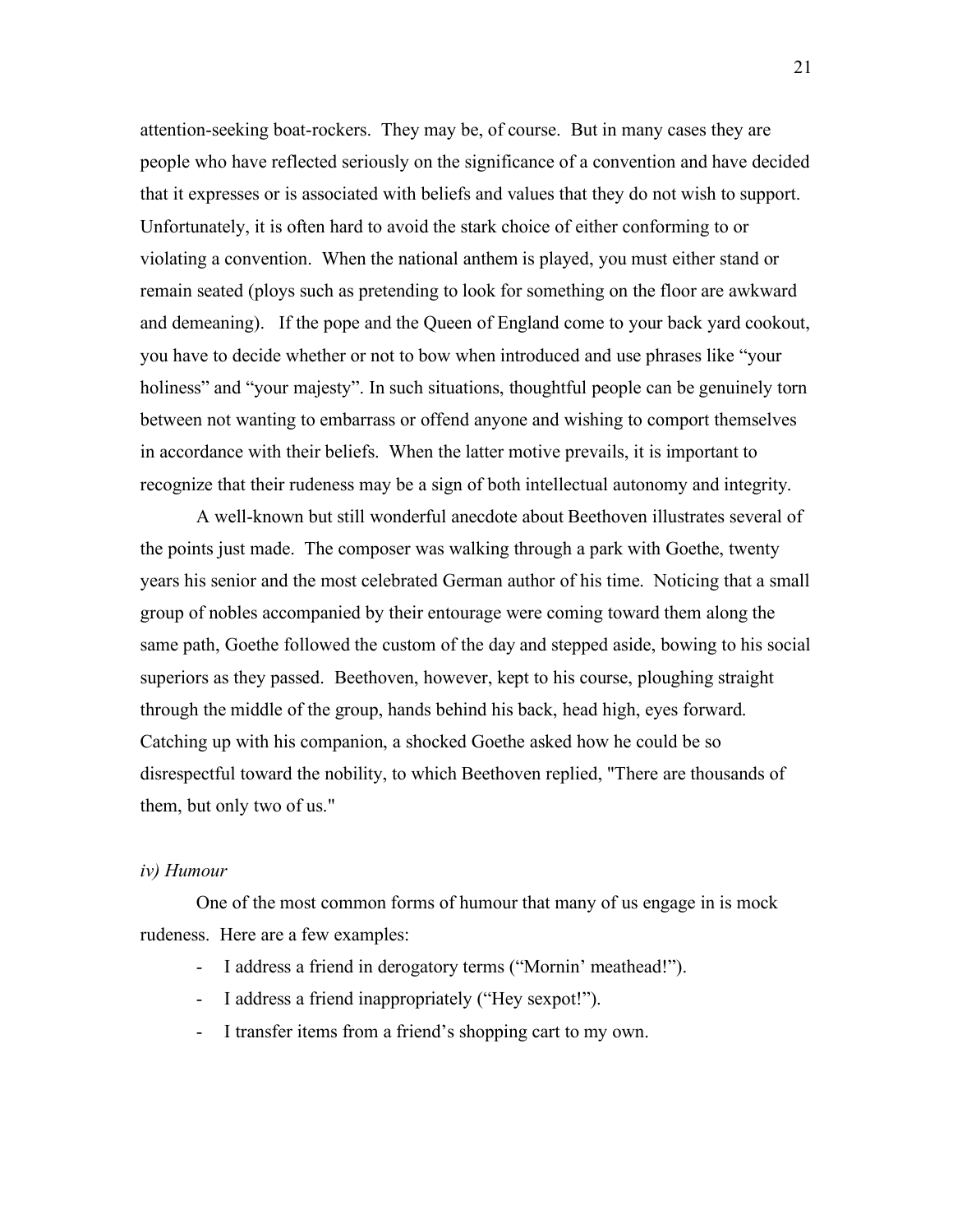attention-seeking boat-rockers. They may be, of course. But in many cases they are people who have reflected seriously on the significance of a convention and have decided that it expresses or is associated with beliefs and values that they do not wish to support. Unfortunately, it is often hard to avoid the stark choice of either conforming to or violating a convention. When the national anthem is played, you must either stand or remain seated (ploys such as pretending to look for something on the floor are awkward and demeaning). If the pope and the Queen of England come to your back yard cookout, you have to decide whether or not to bow when introduced and use phrases like "your holiness" and "your majesty". In such situations, thoughtful people can be genuinely torn between not wanting to embarrass or offend anyone and wishing to comport themselves in accordance with their beliefs. When the latter motive prevails, it is important to recognize that their rudeness may be a sign of both intellectual autonomy and integrity.

A well-known but still wonderful anecdote about Beethoven illustrates several of the points just made. The composer was walking through a park with Goethe, twenty years his senior and the most celebrated German author of his time. Noticing that a small group of nobles accompanied by their entourage were coming toward them along the same path, Goethe followed the custom of the day and stepped aside, bowing to his social superiors as they passed. Beethoven, however, kept to his course, ploughing straight through the middle of the group, hands behind his back, head high, eyes forward. Catching up with his companion, a shocked Goethe asked how he could be so disrespectful toward the nobility, to which Beethoven replied, "There are thousands of them, but only two of us."

#### *iv) Humour*

One of the most common forms of humour that many of us engage in is mock rudeness. Here are a few examples:

- I address a friend in derogatory terms ("Mornin' meathead!").
- I address a friend inappropriately ("Hey sexpot!").
- I transfer items from a friend's shopping cart to my own.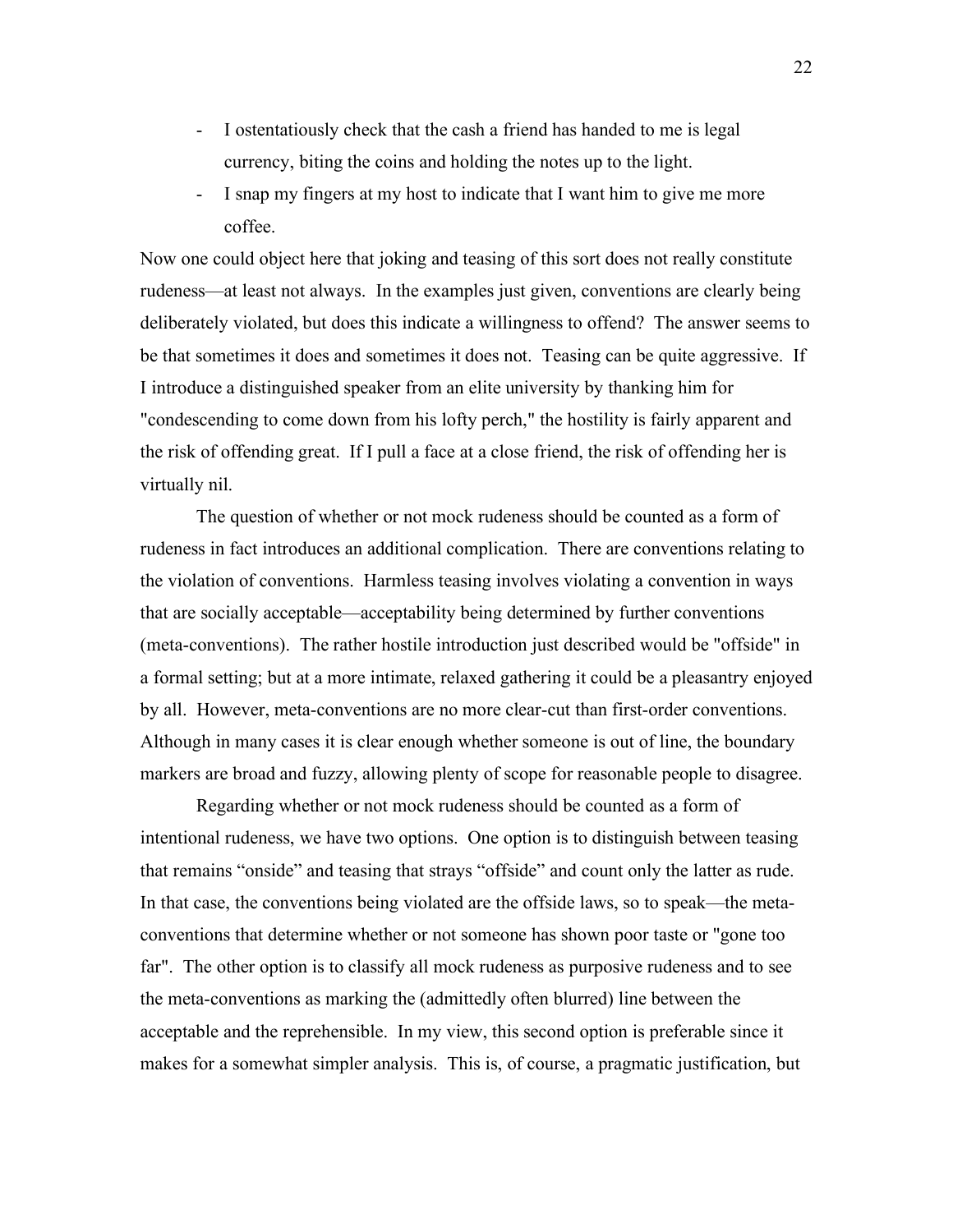- I ostentatiously check that the cash a friend has handed to me is legal currency, biting the coins and holding the notes up to the light.
- I snap my fingers at my host to indicate that I want him to give me more coffee.

Now one could object here that joking and teasing of this sort does not really constitute rudeness—at least not always. In the examples just given, conventions are clearly being deliberately violated, but does this indicate a willingness to offend? The answer seems to be that sometimes it does and sometimes it does not. Teasing can be quite aggressive. If I introduce a distinguished speaker from an elite university by thanking him for "condescending to come down from his lofty perch," the hostility is fairly apparent and the risk of offending great. If I pull a face at a close friend, the risk of offending her is virtually nil.

The question of whether or not mock rudeness should be counted as a form of rudeness in fact introduces an additional complication. There are conventions relating to the violation of conventions. Harmless teasing involves violating a convention in ways that are socially acceptable—acceptability being determined by further conventions (meta-conventions). The rather hostile introduction just described would be "offside" in a formal setting; but at a more intimate, relaxed gathering it could be a pleasantry enjoyed by all. However, meta-conventions are no more clear-cut than first-order conventions. Although in many cases it is clear enough whether someone is out of line, the boundary markers are broad and fuzzy, allowing plenty of scope for reasonable people to disagree.

Regarding whether or not mock rudeness should be counted as a form of intentional rudeness, we have two options. One option is to distinguish between teasing that remains "onside" and teasing that strays "offside" and count only the latter as rude. In that case, the conventions being violated are the offside laws, so to speak—the metaconventions that determine whether or not someone has shown poor taste or "gone too far". The other option is to classify all mock rudeness as purposive rudeness and to see the meta-conventions as marking the (admittedly often blurred) line between the acceptable and the reprehensible. In my view, this second option is preferable since it makes for a somewhat simpler analysis. This is, of course, a pragmatic justification, but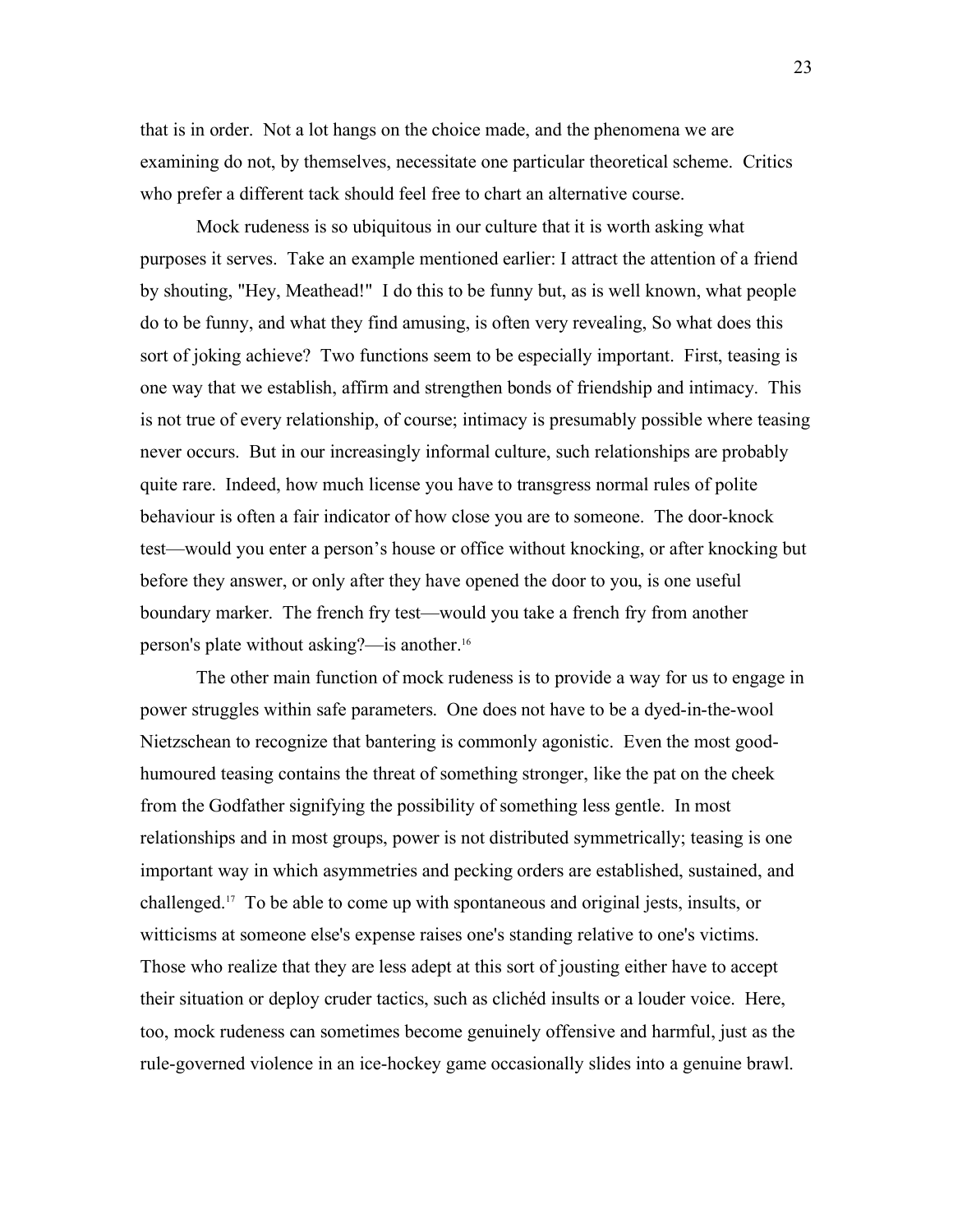that is in order. Not a lot hangs on the choice made, and the phenomena we are examining do not, by themselves, necessitate one particular theoretical scheme. Critics who prefer a different tack should feel free to chart an alternative course.

Mock rudeness is so ubiquitous in our culture that it is worth asking what purposes it serves. Take an example mentioned earlier: I attract the attention of a friend by shouting, "Hey, Meathead!" I do this to be funny but, as is well known, what people do to be funny, and what they find amusing, is often very revealing, So what does this sort of joking achieve? Two functions seem to be especially important. First, teasing is one way that we establish, affirm and strengthen bonds of friendship and intimacy. This is not true of every relationship, of course; intimacy is presumably possible where teasing never occurs. But in our increasingly informal culture, such relationships are probably quite rare. Indeed, how much license you have to transgress normal rules of polite behaviour is often a fair indicator of how close you are to someone. The door-knock test—would you enter a person's house or office without knocking, or after knocking but before they answer, or only after they have opened the door to you, is one useful boundary marker. The french fry test—would you take a french fry from another person's plate without asking?—is another. 16

The other main function of mock rudeness is to provide a way for us to engage in power struggles within safe parameters. One does not have to be a dyed-in-the-wool Nietzschean to recognize that bantering is commonly agonistic. Even the most goodhumoured teasing contains the threat of something stronger, like the pat on the cheek from the Godfather signifying the possibility of something less gentle. In most relationships and in most groups, power is not distributed symmetrically; teasing is one important way in which asymmetries and pecking orders are established, sustained, and challenged.17 To be able to come up with spontaneous and original jests, insults, or witticisms at someone else's expense raises one's standing relative to one's victims. Those who realize that they are less adept at this sort of jousting either have to accept their situation or deploy cruder tactics, such as clichéd insults or a louder voice. Here, too, mock rudeness can sometimes become genuinely offensive and harmful, just as the rule-governed violence in an ice-hockey game occasionally slides into a genuine brawl.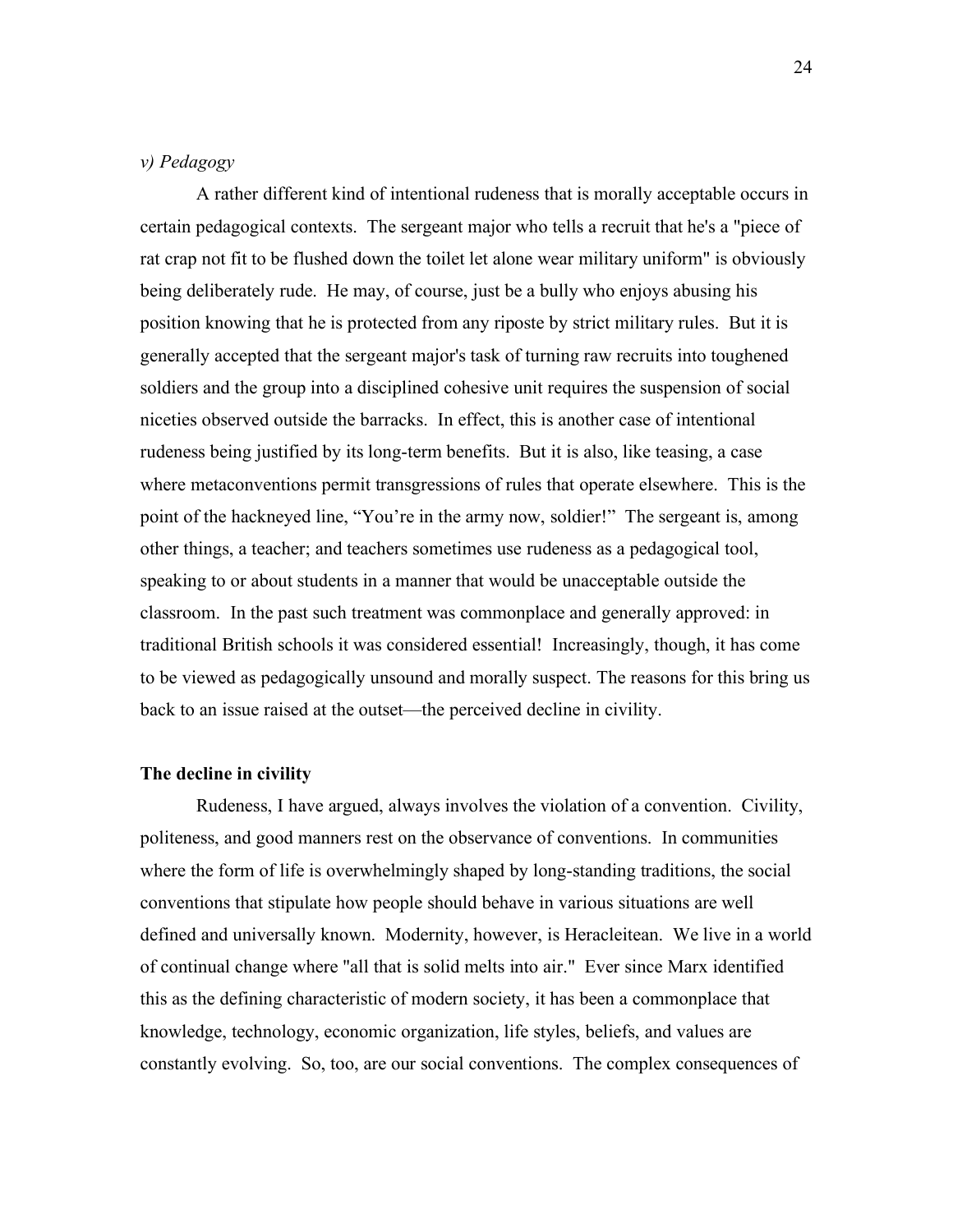### *v) Pedagogy*

A rather different kind of intentional rudeness that is morally acceptable occurs in certain pedagogical contexts. The sergeant major who tells a recruit that he's a "piece of rat crap not fit to be flushed down the toilet let alone wear military uniform" is obviously being deliberately rude. He may, of course, just be a bully who enjoys abusing his position knowing that he is protected from any riposte by strict military rules. But it is generally accepted that the sergeant major's task of turning raw recruits into toughened soldiers and the group into a disciplined cohesive unit requires the suspension of social niceties observed outside the barracks. In effect, this is another case of intentional rudeness being justified by its long-term benefits. But it is also, like teasing, a case where metaconventions permit transgressions of rules that operate elsewhere. This is the point of the hackneyed line, "You're in the army now, soldier!" The sergeant is, among other things, a teacher; and teachers sometimes use rudeness as a pedagogical tool, speaking to or about students in a manner that would be unacceptable outside the classroom. In the past such treatment was commonplace and generally approved: in traditional British schools it was considered essential! Increasingly, though, it has come to be viewed as pedagogically unsound and morally suspect. The reasons for this bring us back to an issue raised at the outset—the perceived decline in civility.

#### The decline in civility

Rudeness, I have argued, always involves the violation of a convention. Civility, politeness, and good manners rest on the observance of conventions. In communities where the form of life is overwhelmingly shaped by long-standing traditions, the social conventions that stipulate how people should behave in various situations are well defined and universally known. Modernity, however, is Heracleitean. We live in a world of continual change where "all that is solid melts into air." Ever since Marx identified this as the defining characteristic of modern society, it has been a commonplace that knowledge, technology, economic organization, life styles, beliefs, and values are constantly evolving. So, too, are our social conventions. The complex consequences of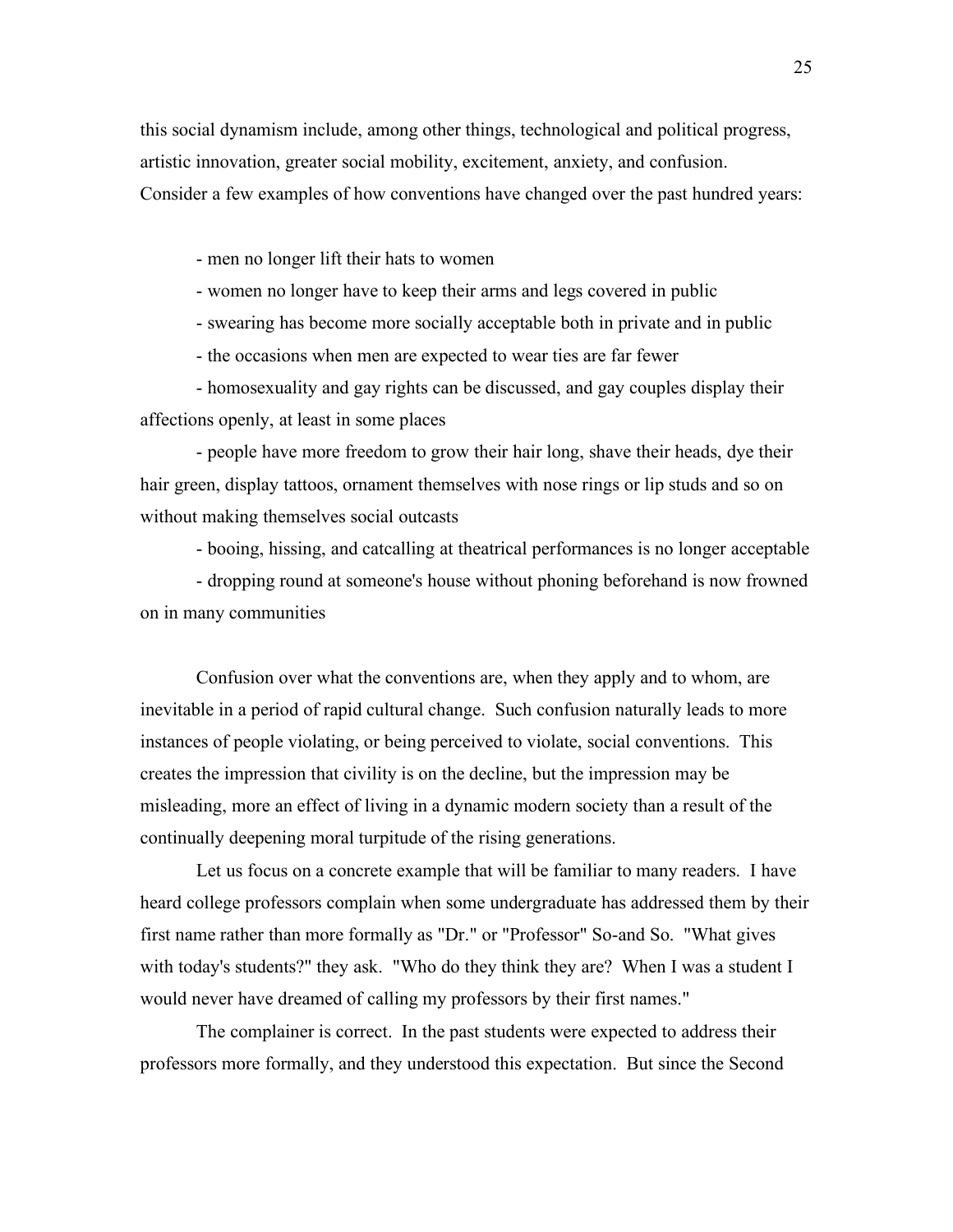this social dynamism include, among other things, technological and political progress, artistic innovation, greater social mobility, excitement, anxiety, and confusion. Consider a few examples of how conventions have changed over the past hundred years:

- men no longer lift their hats to women
- women no longer have to keep their arms and legs covered in public
- swearing has become more socially acceptable both in private and in public
- the occasions when men are expected to wear ties are far fewer

- homosexuality and gay rights can be discussed, and gay couples display their affections openly, at least in some places

- people have more freedom to grow their hair long, shave their heads, dye their hair green, display tattoos, ornament themselves with nose rings or lip studs and so on without making themselves social outcasts

- booing, hissing, and catcalling at theatrical performances is no longer acceptable

- dropping round at someone's house without phoning beforehand is now frowned on in many communities

Confusion over what the conventions are, when they apply and to whom, are inevitable in a period of rapid cultural change. Such confusion naturally leads to more instances of people violating, or being perceived to violate, social conventions. This creates the impression that civility is on the decline, but the impression may be misleading, more an effect of living in a dynamic modern society than a result of the continually deepening moral turpitude of the rising generations.

Let us focus on a concrete example that will be familiar to many readers. I have heard college professors complain when some undergraduate has addressed them by their first name rather than more formally as "Dr." or "Professor" So-and So. "What gives with today's students?" they ask. "Who do they think they are? When I was a student I would never have dreamed of calling my professors by their first names."

The complainer is correct. In the past students were expected to address their professors more formally, and they understood this expectation. But since the Second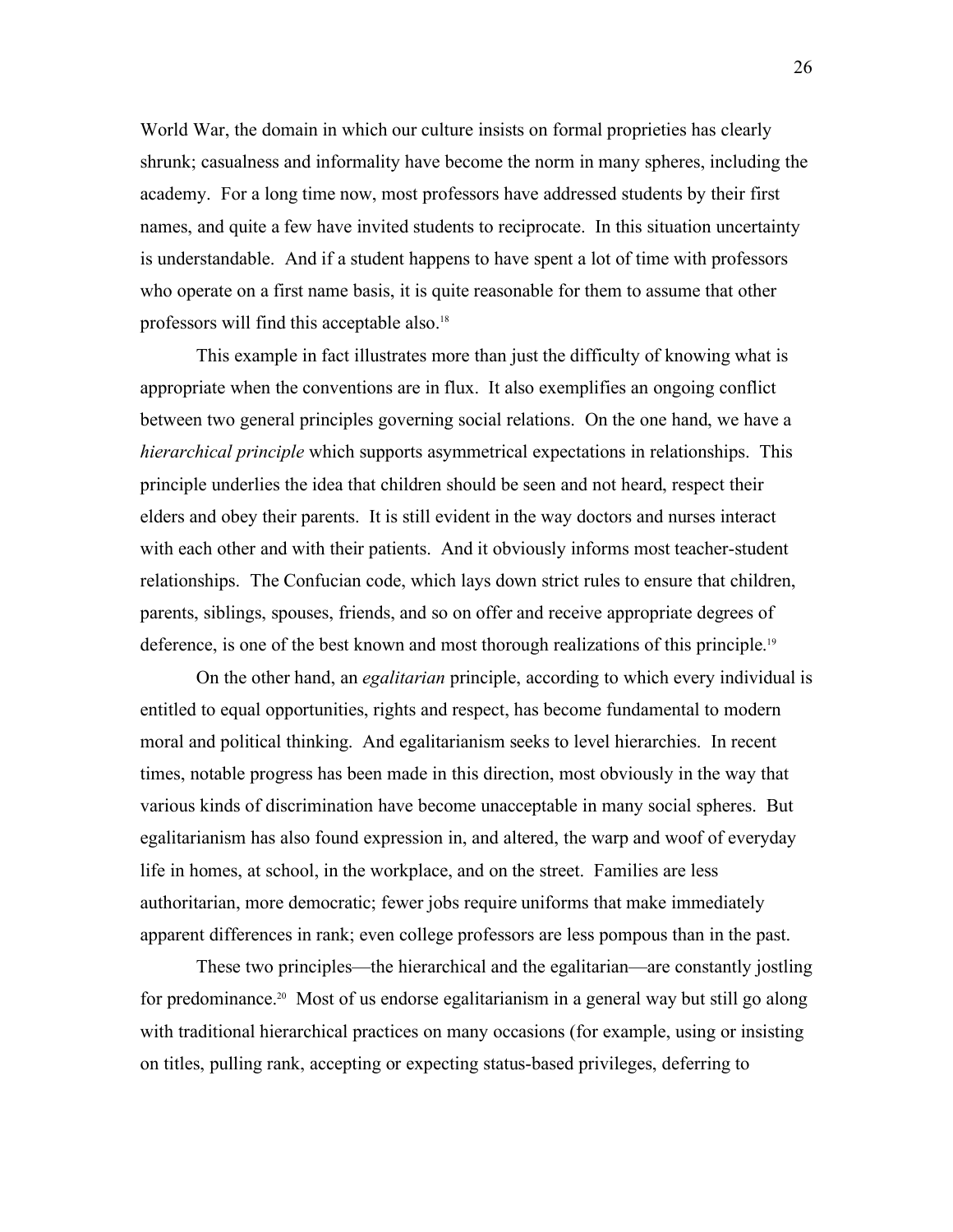World War, the domain in which our culture insists on formal proprieties has clearly shrunk; casualness and informality have become the norm in many spheres, including the academy. For a long time now, most professors have addressed students by their first names, and quite a few have invited students to reciprocate. In this situation uncertainty is understandable. And if a student happens to have spent a lot of time with professors who operate on a first name basis, it is quite reasonable for them to assume that other professors will find this acceptable also.<sup>18</sup>

This example in fact illustrates more than just the difficulty of knowing what is appropriate when the conventions are in flux. It also exemplifies an ongoing conflict between two general principles governing social relations. On the one hand, we have a *hierarchical principle* which supports asymmetrical expectations in relationships. This principle underlies the idea that children should be seen and not heard, respect their elders and obey their parents. It is still evident in the way doctors and nurses interact with each other and with their patients. And it obviously informs most teacher-student relationships. The Confucian code, which lays down strict rules to ensure that children, parents, siblings, spouses, friends, and so on offer and receive appropriate degrees of deference, is one of the best known and most thorough realizations of this principle.<sup>19</sup>

On the other hand, an *egalitarian* principle, according to which every individual is entitled to equal opportunities, rights and respect, has become fundamental to modern moral and political thinking. And egalitarianism seeks to level hierarchies. In recent times, notable progress has been made in this direction, most obviously in the way that various kinds of discrimination have become unacceptable in many social spheres. But egalitarianism has also found expression in, and altered, the warp and woof of everyday life in homes, at school, in the workplace, and on the street. Families are less authoritarian, more democratic; fewer jobs require uniforms that make immediately apparent differences in rank; even college professors are less pompous than in the past.

These two principles—the hierarchical and the egalitarian—are constantly jostling for predominance. <sup>20</sup> Most of us endorse egalitarianism in a general way but still go along with traditional hierarchical practices on many occasions (for example, using or insisting on titles, pulling rank, accepting or expecting status-based privileges, deferring to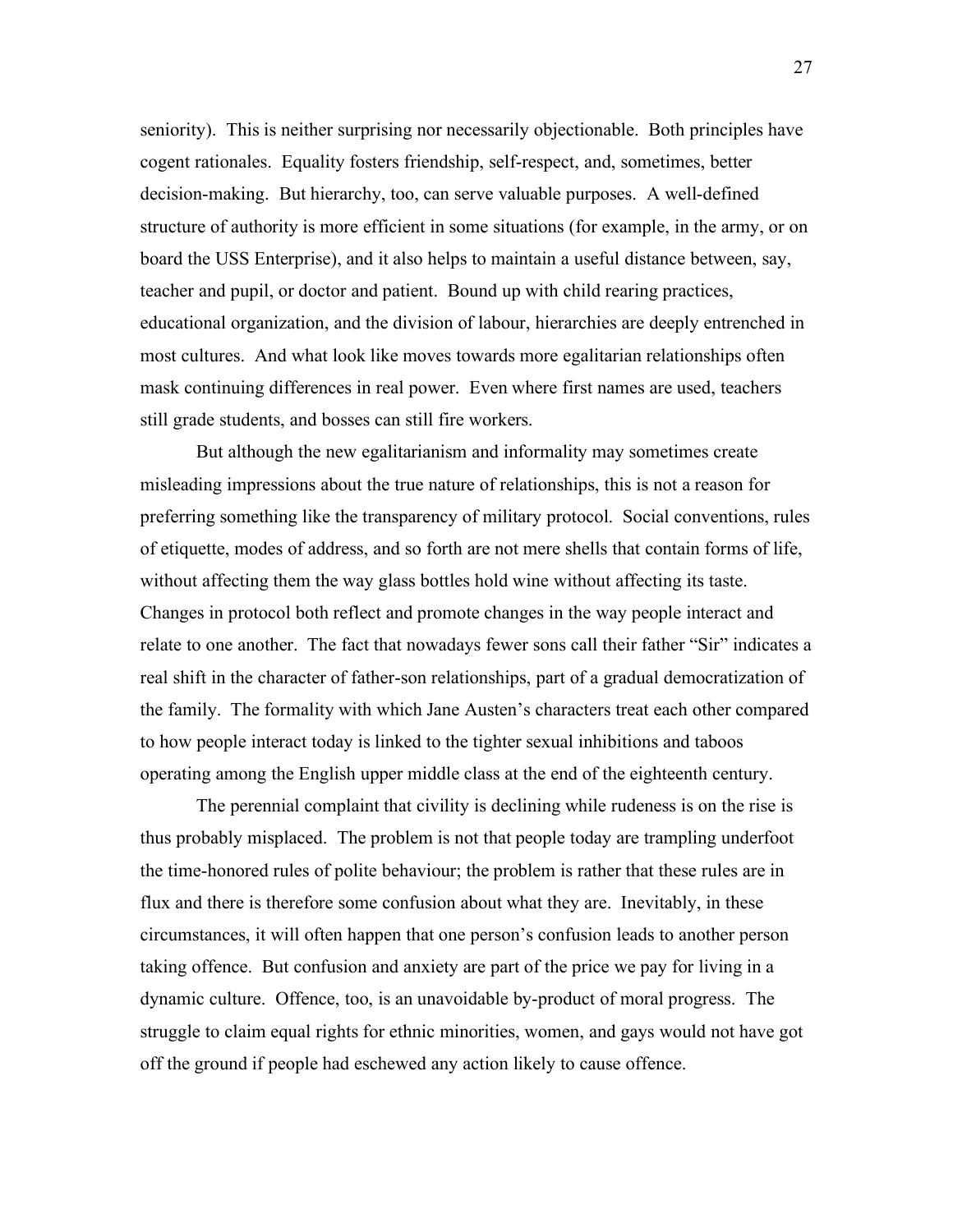seniority). This is neither surprising nor necessarily objectionable. Both principles have cogent rationales. Equality fosters friendship, self-respect, and, sometimes, better decision-making. But hierarchy, too, can serve valuable purposes. A well-defined structure of authority is more efficient in some situations (for example, in the army, or on board the USS Enterprise), and it also helps to maintain a useful distance between, say, teacher and pupil, or doctor and patient. Bound up with child rearing practices, educational organization, and the division of labour, hierarchies are deeply entrenched in most cultures. And what look like moves towards more egalitarian relationships often mask continuing differences in real power. Even where first names are used, teachers still grade students, and bosses can still fire workers.

But although the new egalitarianism and informality may sometimes create misleading impressions about the true nature of relationships, this is not a reason for preferring something like the transparency of military protocol. Social conventions, rules of etiquette, modes of address, and so forth are not mere shells that contain forms of life, without affecting them the way glass bottles hold wine without affecting its taste. Changes in protocol both reflect and promote changes in the way people interact and relate to one another. The fact that nowadays fewer sons call their father "Sir" indicates a real shift in the character of father-son relationships, part of a gradual democratization of the family. The formality with which Jane Austen's characters treat each other compared to how people interact today is linked to the tighter sexual inhibitions and taboos operating among the English upper middle class at the end of the eighteenth century.

The perennial complaint that civility is declining while rudeness is on the rise is thus probably misplaced. The problem is not that people today are trampling underfoot the time-honored rules of polite behaviour; the problem is rather that these rules are in flux and there is therefore some confusion about what they are. Inevitably, in these circumstances, it will often happen that one person's confusion leads to another person taking offence. But confusion and anxiety are part of the price we pay for living in a dynamic culture. Offence, too, is an unavoidable by-product of moral progress. The struggle to claim equal rights for ethnic minorities, women, and gays would not have got off the ground if people had eschewed any action likely to cause offence.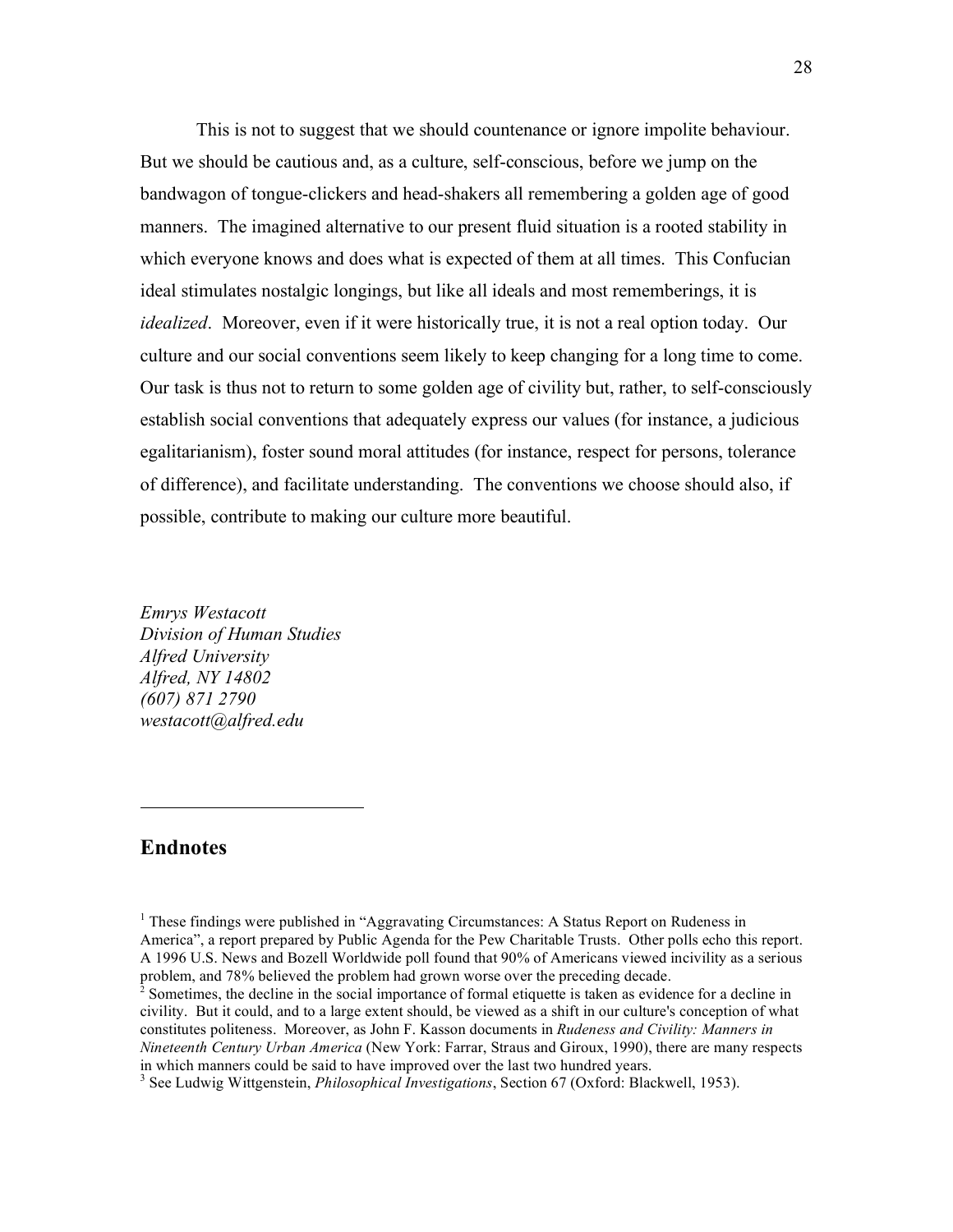This is not to suggest that we should countenance or ignore impolite behaviour. But we should be cautious and, as a culture, self-conscious, before we jump on the bandwagon of tongue-clickers and head-shakers all remembering a golden age of good manners. The imagined alternative to our present fluid situation is a rooted stability in which everyone knows and does what is expected of them at all times. This Confucian ideal stimulates nostalgic longings, but like all ideals and most rememberings, it is *idealized*. Moreover, even if it were historically true, it is not a real option today. Our culture and our social conventions seem likely to keep changing for a long time to come. Our task is thus not to return to some golden age of civility but, rather, to self-consciously establish social conventions that adequately express our values (for instance, a judicious egalitarianism), foster sound moral attitudes (for instance, respect for persons, tolerance of difference), and facilitate understanding. The conventions we choose should also, if possible, contribute to making our culture more beautiful.

*Emrys Westacott Division of Human Studies Alfred University Alfred, NY 14802 (607) 871 2790 westacott@alfred.edu*

## Endnotes

 $\overline{a}$ 

<sup>1</sup> These findings were published in "Aggravating Circumstances: A Status Report on Rudeness in America", a report prepared by Public Agenda for the Pew Charitable Trusts. Other polls echo this report. A 1996 U.S. News and Bozell Worldwide poll found that 90% of Americans viewed incivility as a serious problem, and 78% believed the problem had grown worse over the preceding decade.

<sup>2</sup> Sometimes, the decline in the social importance of formal etiquette is taken as evidence for a decline in civility. But it could, and to a large extent should, be viewed as a shift in our culture's conception of what constitutes politeness. Moreover, as John F. Kasson documents in *Rudeness and Civility: Manners in Nineteenth Century Urban America* (New York: Farrar, Straus and Giroux, 1990), there are many respects in which manners could be said to have improved over the last two hundred years. <sup>3</sup> See Ludwig Wittgenstein, *Philosophical Investigations*, Section <sup>67</sup> (Oxford: Blackwell, 1953).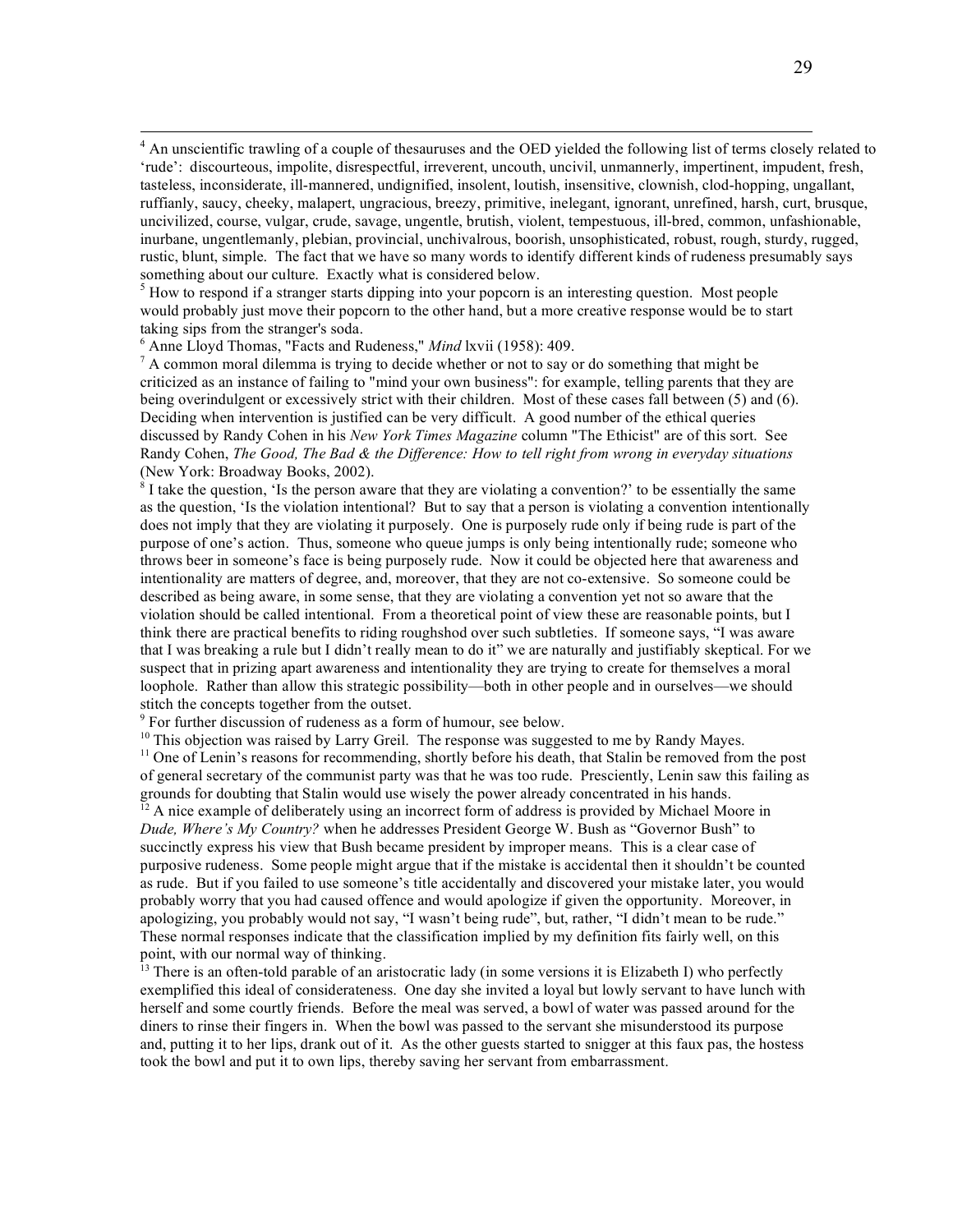<sup>4</sup> An unscientific trawling of a couple of thesauruses and the OED yielded the following list of terms closely related to 'rude': discourteous, impolite, disrespectful, irreverent, uncouth, uncivil, unmannerly, impertinent, impudent, fresh, tasteless, inconsiderate, ill-mannered, undignified, insolent, loutish, insensitive, clownish, clod-hopping, ungallant, ruffianly, saucy, cheeky, malapert, ungracious, breezy, primitive, inelegant, ignorant, unrefined, harsh, curt, brusque, uncivilized, course, vulgar, crude, savage, ungentle, brutish, violent, tempestuous, ill-bred, common, unfashionable, inurbane, ungentlemanly, plebian, provincial, unchivalrous, boorish, unsophisticated, robust, rough, sturdy, rugged, rustic, blunt, simple. The fact that we have so many words to identify different kinds of rudeness presumably says something about our culture. Exactly what is considered below.<br><sup>5</sup> How to respond if a stranger starts dipping into your popcorn is an interesting question. Most people

would probably just move their popcorn to the other hand, but a more creative response would be to start taking sips from the stranger's soda.

<sup>6</sup> Anne Lloyd Thomas, "Facts and Rudeness," *Mind* lxvii (1958): 409.

 $^7$  A common moral dilemma is trying to decide whether or not to say or do something that might be criticized as an instance of failing to "mind your own business": for example, telling parents that they are being overindulgent or excessively strict with their children. Most of these cases fall between (5) and (6). Deciding when intervention is justified can be very difficult. A good number of the ethical queries discussed by Randy Cohen in his *New York Times Magazine* column "The Ethicist" are of this sort. See Randy Cohen, *The Good, The Bad & the Difference: How to tell right from wrong in everyday situations* (New York: Broadway Books, 2002).

<sup>8</sup> I take the question, 'Is the person aware that they are violating a convention?' to be essentially the same as the question, 'Is the violation intentional? But to say that a person is violating a convention intentionally does not imply that they are violating it purposely. One is purposely rude only if being rude is part of the purpose of one's action. Thus, someone who queue jumps is only being intentionally rude; someone who throws beer in someone's face is being purposely rude. Now it could be objected here that awareness and intentionality are matters of degree, and, moreover, that they are not co-extensive. So someone could be described as being aware, in some sense, that they are violating a convention yet not so aware that the violation should be called intentional. From a theoretical point of view these are reasonable points, but I think there are practical benefits to riding roughshod over such subtleties. If someone says, "I was aware that I was breaking a rule but I didn't really mean to do it" we are naturally and justifiably skeptical. For we suspect that in prizing apart awareness and intentionality they are trying to create for themselves a moral loophole. Rather than allow this strategic possibility—both in other people and in ourselves—we should stitch the concepts together from the outset.

<sup>9</sup> For further discussion of rudeness as a form of humour, see below.

<sup>10</sup> This objection was raised by Larry Greil. The response was suggested to me by Randy Mayes. <sup>11</sup> One of Lenin's reasons for recommending, shortly before his death, that Stalin be removed from the post of general secretary of the communist party was that he was too rude. Presciently, Lenin saw this failing as grounds for doubting that Stalin would use wisely the power already concentrated in his hands.

 $12$  A nice example of deliberately using an incorrect form of address is provided by Michael Moore in *Dude, Where's My Country?* when he addresses President George W. Bush as "Governor Bush" to succinctly express his view that Bush became president by improper means. This is a clear case of purposive rudeness. Some people might argue that if the mistake is accidental then it shouldn't be counted as rude. But if you failed to use someone's title accidentally and discovered your mistake later, you would probably worry that you had caused offence and would apologize if given the opportunity. Moreover, in apologizing, you probably would not say, "I wasn't being rude", but, rather, "I didn't mean to be rude." These normal responses indicate that the classification implied by my definition fits fairly well, on this point, with our normal way of thinking.

 $13$  There is an often-told parable of an aristocratic lady (in some versions it is Elizabeth I) who perfectly exemplified this ideal of considerateness. One day she invited a loyal but lowly servant to have lunch with herself and some courtly friends. Before the meal was served, a bowl of water was passed around for the diners to rinse their fingers in. When the bowl was passed to the servant she misunderstood its purpose and, putting it to her lips, drank out of it. As the other guests started to snigger at this faux pas, the hostess took the bowl and put it to own lips, thereby saving her servant from embarrassment.